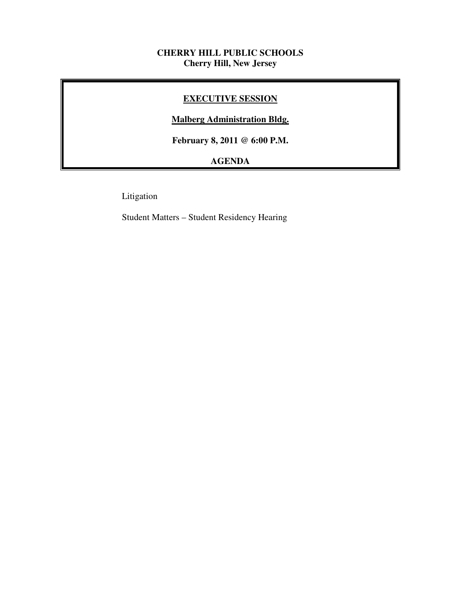## **CHERRY HILL PUBLIC SCHOOLS Cherry Hill, New Jersey**

# **EXECUTIVE SESSION**

# **Malberg Administration Bldg.**

 **February 8, 2011 @ 6:00 P.M.** 

# **AGENDA**

Litigation

Student Matters – Student Residency Hearing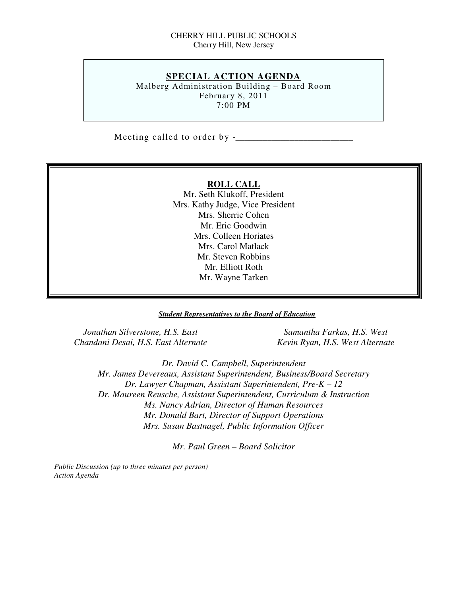### CHERRY HILL PUBLIC SCHOOLS Cherry Hill, New Jersey

## **SPECIAL ACTION AGENDA**

 Malberg Administration Building – Board Room February 8, 2011 7:00 PM

Meeting called to order by -\_\_\_\_\_\_\_\_\_\_\_\_\_\_\_\_\_\_\_\_\_\_\_\_\_\_

### **ROLL CALL**

 Mr. Seth Klukoff, President Mrs. Kathy Judge, Vice President Mrs. Sherrie Cohen Mr. Eric Goodwin Mrs. Colleen Horiates Mrs. Carol Matlack Mr. Steven Robbins Mr. Elliott Roth Mr. Wayne Tarken

### *Student Representatives to the Board of Education*

*Jonathan Silverstone, H.S. East* Samantha Farkas, H.S. West  *Chandani Desai, H.S. East Alternate Kevin Ryan, H.S. West Alternate* 

 *Dr. David C. Campbell, Superintendent Mr. James Devereaux, Assistant Superintendent, Business/Board Secretary Dr. Lawyer Chapman, Assistant Superintendent, Pre-K – 12 Dr. Maureen Reusche, Assistant Superintendent, Curriculum & Instruction Ms. Nancy Adrian, Director of Human Resources Mr. Donald Bart, Director of Support Operations Mrs. Susan Bastnagel, Public Information Officer* 

 *Mr. Paul Green – Board Solicitor* 

 *Public Discussion (up to three minutes per person) Action Agenda*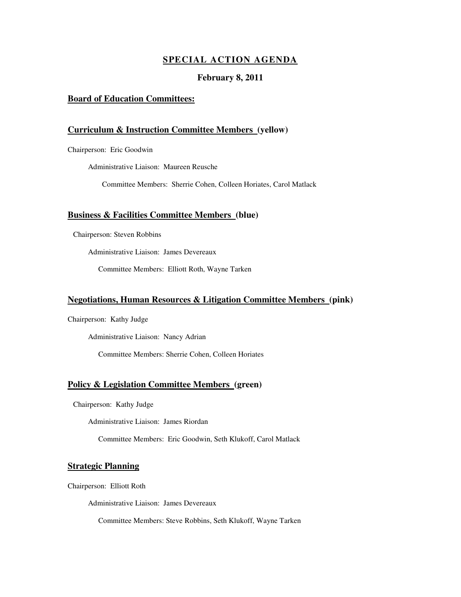### **SPECIAL ACTION AGENDA**

### **February 8, 2011**

### **Board of Education Committees:**

### **Curriculum & Instruction Committee Members (yellow)**

Chairperson: Eric Goodwin

Administrative Liaison: Maureen Reusche

Committee Members: Sherrie Cohen, Colleen Horiates, Carol Matlack

### **Business & Facilities Committee Members (blue)**

Chairperson: Steven Robbins

Administrative Liaison: James Devereaux

Committee Members: Elliott Roth, Wayne Tarken

### **Negotiations, Human Resources & Litigation Committee Members (pink)**

Chairperson: Kathy Judge

Administrative Liaison: Nancy Adrian

Committee Members: Sherrie Cohen, Colleen Horiates

### **Policy & Legislation Committee Members (green)**

Chairperson: Kathy Judge

Administrative Liaison: James Riordan

Committee Members: Eric Goodwin, Seth Klukoff, Carol Matlack

### **Strategic Planning**

Chairperson: Elliott Roth

Administrative Liaison: James Devereaux

Committee Members: Steve Robbins, Seth Klukoff, Wayne Tarken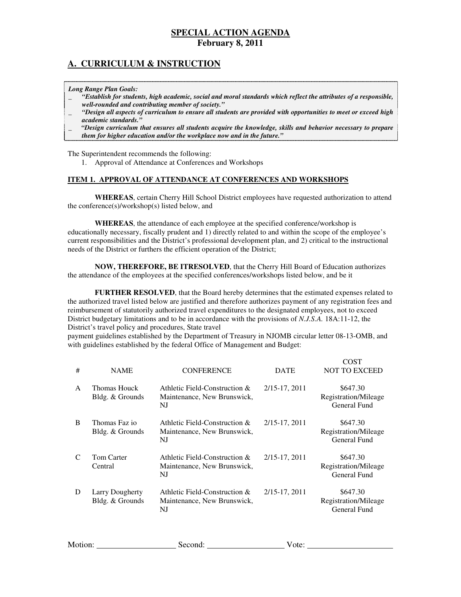# **A. CURRICULUM & INSTRUCTION**

 *Long Range Plan Goals:* 

- \_ *"Establish for students, high academic, social and moral standards which reflect the attributes of a responsible, well-rounded and contributing member of society."*
- \_ *"Design all aspects of curriculum to ensure all students are provided with opportunities to meet or exceed high academic standards."*

 \_ *"Design curriculum that ensures all students acquire the knowledge, skills and behavior necessary to prepare them for higher education and/or the workplace now and in the future."* 

The Superintendent recommends the following:

1. Approval of Attendance at Conferences and Workshops

### **ITEM 1. APPROVAL OF ATTENDANCE AT CONFERENCES AND WORKSHOPS**

 **WHEREAS**, certain Cherry Hill School District employees have requested authorization to attend the conference(s)/workshop(s) listed below, and

 **WHEREAS**, the attendance of each employee at the specified conference/workshop is educationally necessary, fiscally prudent and 1) directly related to and within the scope of the employee's current responsibilities and the District's professional development plan, and 2) critical to the instructional needs of the District or furthers the efficient operation of the District;

 **NOW, THEREFORE, BE ITRESOLVED**, that the Cherry Hill Board of Education authorizes the attendance of the employees at the specified conferences/workshops listed below, and be it

 **FURTHER RESOLVED**, that the Board hereby determines that the estimated expenses related to the authorized travel listed below are justified and therefore authorizes payment of any registration fees and reimbursement of statutorily authorized travel expenditures to the designated employees, not to exceed District budgetary limitations and to be in accordance with the provisions of *N.J.S.A.* 18A:11-12, the District's travel policy and procedures, State travel

 payment guidelines established by the Department of Treasury in NJOMB circular letter 08-13-OMB, and with guidelines established by the federal Office of Management and Budget:

| #            | <b>NAME</b>                               | <b>CONFERENCE</b>                                                     | <b>DATE</b>   | <b>COST</b><br><b>NOT TO EXCEED</b>              |
|--------------|-------------------------------------------|-----------------------------------------------------------------------|---------------|--------------------------------------------------|
| $\mathsf{A}$ | Thomas Houck<br>Bldg. & Grounds           | Athletic Field-Construction $\&$<br>Maintenance, New Brunswick,<br>NJ | 2/15-17, 2011 | \$647.30<br>Registration/Mileage<br>General Fund |
| B            | Thomas Faz io<br>Bldg. & Grounds          | Athletic Field-Construction &<br>Maintenance, New Brunswick,<br>NJ    | 2/15-17, 2011 | \$647.30<br>Registration/Mileage<br>General Fund |
|              | <b>Tom Carter</b><br>Central              | Athletic Field-Construction &<br>Maintenance, New Brunswick,<br>NJ    | 2/15-17, 2011 | \$647.30<br>Registration/Mileage<br>General Fund |
| D            | <b>Larry Dougherty</b><br>Bldg. & Grounds | Athletic Field-Construction &<br>Maintenance, New Brunswick,<br>NJ    | 2/15-17, 2011 | \$647.30<br>Registration/Mileage<br>General Fund |

| Motion: | nond:<br>$\cdot$ . $\cdot$ | ')u |  |
|---------|----------------------------|-----|--|
|         |                            |     |  |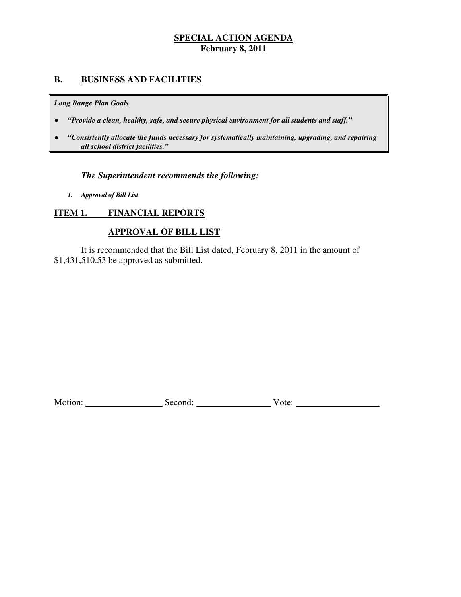# **B. BUSINESS AND FACILITIES**

### *Long Range Plan Goals*

- *"Provide a clean, healthy, safe, and secure physical environment for all students and staff."*
- *all school district facilities."*  ● *"Consistently allocate the funds necessary for systematically maintaining, upgrading, and repairing*

# *The Superintendent recommends the following:*

 *1. Approval of Bill List* 

# **ITEM 1. FINANCIAL REPORTS**

# **APPROVAL OF BILL LIST**

 \$1,431,510.53 be approved as submitted. It is recommended that the Bill List dated, February 8, 2011 in the amount of

Motion: <u>Conserver Communist Second:</u> Second: Vote: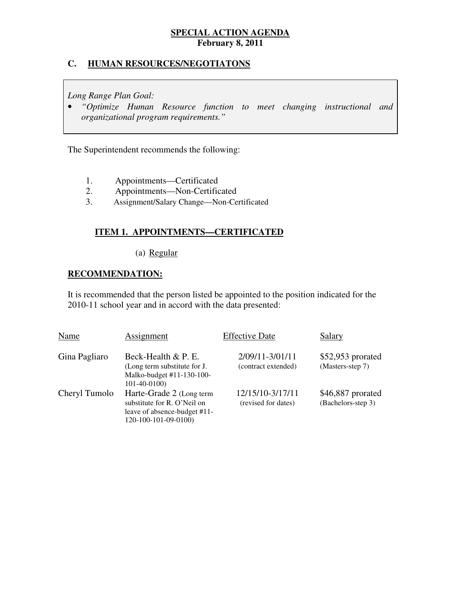# **C. HUMAN RESOURCES/NEGOTIATONS**

 *Long Range Plan Goal:* 

**•** "Optimize Human Resource function to meet changing instructional and  *organizational program requirements."* 

The Superintendent recommends the following:

- $1.$ 1. Appointments—Certificated
- 2. 2. Appointments—Non-Certificated
- 3. Assignment/Salary Change—Non-Certificated

# **ITEM 1. APPOINTMENTS—CERTIFICATED**

## (a) Regular

# **RECOMMENDATION:**

 It is recommended that the person listed be appointed to the position indicated for the 2010-11 school year and in accord with the data presented:

| Name          | Assignment                                                                                                      | <b>Effective Date</b>                   | Salary                                  |
|---------------|-----------------------------------------------------------------------------------------------------------------|-----------------------------------------|-----------------------------------------|
| Gina Pagliaro | Beck-Health & P. E.<br>(Long term substitute for J.<br>Malko-budget #11-130-100-<br>$101-40-0100$               | 2/09/11-3/01/11<br>(contract extended)  | $$52,953$ prorated<br>(Masters-step 7)  |
| Cheryl Tumolo | Harte-Grade 2 (Long term<br>substitute for R. O'Neil on<br>leave of absence-budget #11-<br>120-100-101-09-0100) | 12/15/10-3/17/11<br>(revised for dates) | \$46,887 prorated<br>(Bachelors-step 3) |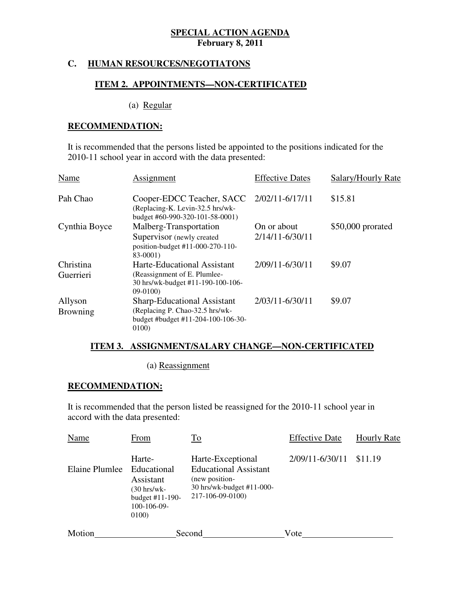### **HUMAN RESOURCES/NEGOTIATONS**

## **ITEM 2. APPOINTMENTS—NON-CERTIFICATED**

(a) Regular

## **RECOMMENDATION:**

 It is recommended that the persons listed be appointed to the positions indicated for the 2010-11 school year in accord with the data presented:

| Name                       | Assignment                                                                                                           | <b>Effective Dates</b>             | Salary/Hourly Rate |
|----------------------------|----------------------------------------------------------------------------------------------------------------------|------------------------------------|--------------------|
| Pah Chao                   | Cooper-EDCC Teacher, SACC<br>(Replacing-K. Levin-32.5 hrs/wk-<br>budget #60-990-320-101-58-0001)                     | 2/02/11-6/17/11                    | \$15.81            |
| Cynthia Boyce              | Malberg-Transportation<br>Supervisor (newly created)<br>position-budget #11-000-270-110-<br>83-0001)                 | On or about<br>$2/14/11 - 6/30/11$ | \$50,000 prorated  |
| Christina<br>Guerrieri     | Harte-Educational Assistant<br>(Reassignment of E. Plumlee-<br>30 hrs/wk-budget #11-190-100-106-<br>$09-0100$        | 2/09/11-6/30/11                    | \$9.07             |
| Allyson<br><b>Browning</b> | <b>Sharp-Educational Assistant</b><br>(Replacing P. Chao-32.5 hrs/wk-<br>budget #budget #11-204-100-106-30-<br>0100) | 2/03/11-6/30/11                    | \$9.07             |

### **ITEM 3. ASSIGNMENT/SALARY CHANGE—NON-CERTIFICATED**

(a) Reassignment

### **RECOMMENDATION:**

 It is recommended that the person listed be reassigned for the 2010-11 school year in accord with the data presented:

| Name           | From                                                                                           | <b>To</b>                                                                                                            | <b>Effective Date</b> | <b>Hourly Rate</b> |
|----------------|------------------------------------------------------------------------------------------------|----------------------------------------------------------------------------------------------------------------------|-----------------------|--------------------|
| Elaine Plumlee | Harte-<br>Educational<br>Assistant<br>(30 hrs/wk-<br>budget #11-190-<br>$100-106-09-$<br>0100) | Harte-Exceptional<br><b>Educational Assistant</b><br>(new position-<br>30 hrs/wk-budget #11-000-<br>217-106-09-0100) | 2/09/11-6/30/11       | \$11.19            |
| Motion         |                                                                                                | Second                                                                                                               | Vote                  |                    |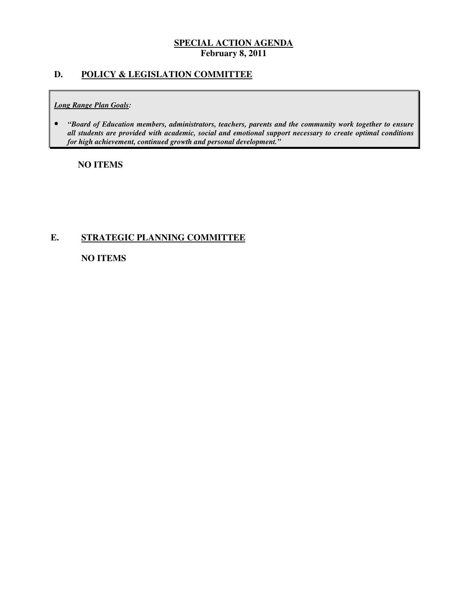## **D. POLICY & LEGISLATION COMMITTEE**

### *Long Range Plan Goals:*

**•** "Board of Education members, administrators, teachers, parents and the community work together to ensure  *all students are provided with academic, social and emotional support necessary to create optimal conditions for high achievement, continued growth and personal development."* 

# **NO ITEMS**

## **E. STRATEGIC PLANNING COMMITTEE**

 **NO ITEMS**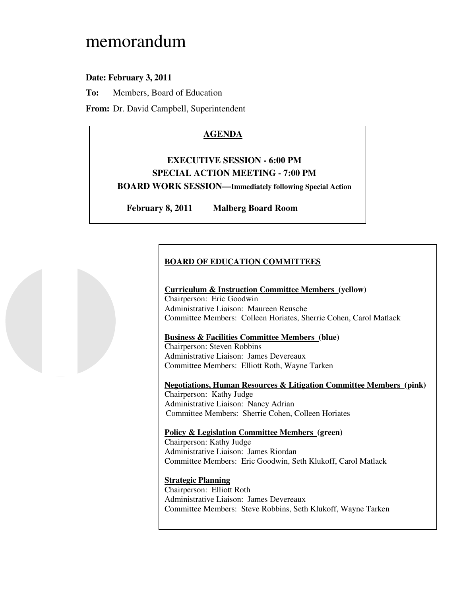# memorandum

# **Date: February 3, 2011**

**To:** Members, Board of Education

**From:** Dr. David Campbell, Superintendent

# **AGENDA**

# **EXECUTIVE SESSION - 6:00 PM SPECIAL ACTION MEETING - 7:00 PM BOARD WORK SESSION—Immediately following Special Action**

**February 8, 2011 Malberg Board Room** 

# **BOARD OF EDUCATION COMMITTEES**

### **Curriculum & Instruction Committee Members (yellow)**  Chairperson: Eric Goodwin Administrative Liaison: Maureen Reusche Committee Members: Colleen Horiates, Sherrie Cohen, Carol Matlack

## **Business & Facilities Committee Members (blue)**

 Chairperson: Steven Robbins Administrative Liaison: James Devereaux Committee Members: Elliott Roth, Wayne Tarken

 **Negotiations, Human Resources & Litigation Committee Members (pink)**  Chairperson: Kathy Judge Administrative Liaison: Nancy Adrian Committee Members: Sherrie Cohen, Colleen Horiates

 **Policy & Legislation Committee Members (green)**  Chairperson: Kathy Judge

 Administrative Liaison: James Riordan Committee Members: Eric Goodwin, Seth Klukoff, Carol Matlack

### **Strategic Planning**

 Chairperson: Elliott Roth Administrative Liaison: James Devereaux Committee Members: Steve Robbins, Seth Klukoff, Wayne Tarken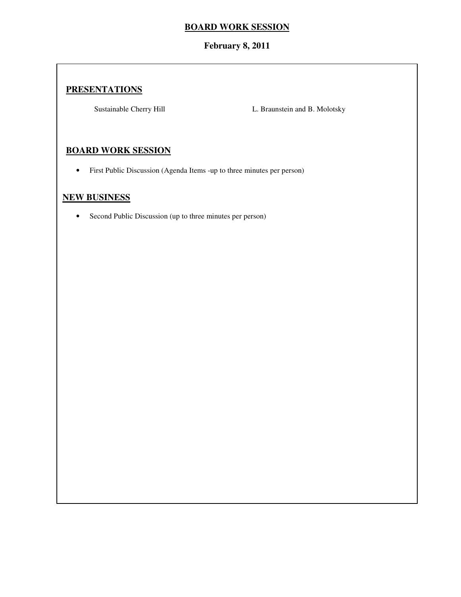# **BOARD WORK SESSION**

# **February 8, 2011**

# **PRESENTATIONS**

Sustainable Cherry Hill

L. Braunstein and B. Molotsky

# **BOARD WORK SESSION**

• First Public Discussion (Agenda Items -up to three minutes per person)

# **NEW BUSINESS**

• Second Public Discussion (up to three minutes per person)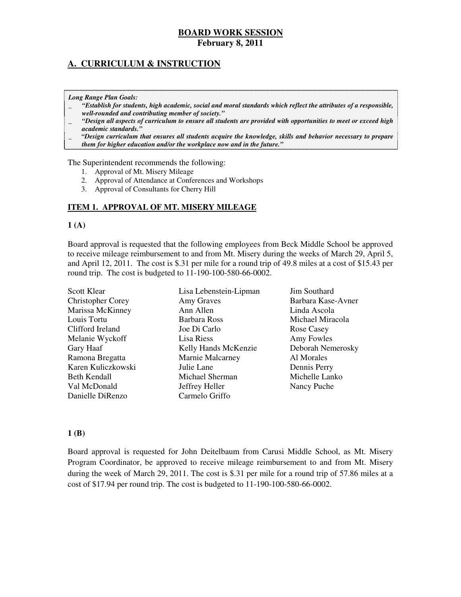# **A. CURRICULUM & INSTRUCTION**

### *Long Range Plan Goals:*

- \_ *"Establish for students, high academic, social and moral standards which reflect the attributes of a responsible, well-rounded and contributing member of society."*
- \_ *"Design all aspects of curriculum to ensure all students are provided with opportunities to meet or exceed high academic standards."*
- \_ *"Design curriculum that ensures all students acquire the knowledge, skills and behavior necessary to prepare them for higher education and/or the workplace now and in the future."*

### The Superintendent recommends the following:

- 1. Approval of Mt. Misery Mileage
- 2. Approval of Attendance at Conferences and Workshops
- 3. Approval of Consultants for Cherry Hill

### **ITEM 1. APPROVAL OF MT. MISERY MILEAGE**

### $\mathbf{1}$  (A)

 Board approval is requested that the following employees from Beck Middle School be approved to receive mileage reimbursement to and from Mt. Misery during the weeks of March 29, April 5, and April 12, 2011. The cost is \$.31 per mile for a round trip of 49.8 miles at a cost of \$15.43 per round trip. The cost is budgeted to 11-190-100-580-66-0002.

| <b>Scott Klear</b>       | Lisa Lebenstein-Lipman  | Jim Southard       |
|--------------------------|-------------------------|--------------------|
| <b>Christopher Corey</b> | Amy Graves              | Barbara Kase-Avner |
| Marissa McKinney         | Ann Allen               | Linda Ascola       |
| Louis Tortu              | Barbara Ross            | Michael Miracola   |
| Clifford Ireland         | Joe Di Carlo            | Rose Casey         |
| Melanie Wyckoff          | Lisa Riess              | Amy Fowles         |
| Gary Haaf                | Kelly Hands McKenzie    | Deborah Nemerosky  |
| Ramona Bregatta          | <b>Marnie Malcarney</b> | Al Morales         |
| Karen Kuliczkowski       | Julie Lane              | Dennis Perry       |
| Beth Kendall             | Michael Sherman         | Michelle Lanko     |
| Val McDonald             | Jeffrey Heller          | Nancy Puche        |
| Danielle DiRenzo         | Carmelo Griffo          |                    |

### **1 (B)**

 Board approval is requested for John Deitelbaum from Carusi Middle School, as Mt. Misery Program Coordinator, be approved to receive mileage reimbursement to and from Mt. Misery during the week of March 29, 2011. The cost is \$.31 per mile for a round trip of 57.86 miles at a cost of \$17.94 per round trip. The cost is budgeted to 11-190-100-580-66-0002.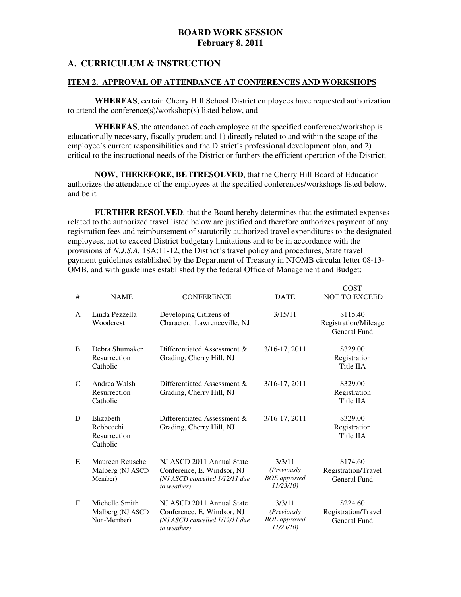# **A. CURRICULUM & INSTRUCTION**

### **ITEM 2. APPROVAL OF ATTENDANCE AT CONFERENCES AND WORKSHOPS**

 **WHEREAS**, certain Cherry Hill School District employees have requested authorization to attend the conference(s)/workshop(s) listed below, and

 **WHEREAS**, the attendance of each employee at the specified conference/workshop is educationally necessary, fiscally prudent and 1) directly related to and within the scope of the employee's current responsibilities and the District's professional development plan, and 2) critical to the instructional needs of the District or furthers the efficient operation of the District;

 **NOW, THEREFORE, BE ITRESOLVED**, that the Cherry Hill Board of Education authorizes the attendance of the employees at the specified conferences/workshops listed below, and be it

 **FURTHER RESOLVED**, that the Board hereby determines that the estimated expenses related to the authorized travel listed below are justified and therefore authorizes payment of any registration fees and reimbursement of statutorily authorized travel expenditures to the designated employees, not to exceed District budgetary limitations and to be in accordance with the provisions of *N.J.S.A.* 18A:11-12, the District's travel policy and procedures, State travel payment guidelines established by the Department of Treasury in NJOMB circular letter 08-13 OMB, and with guidelines established by the federal Office of Management and Budget:

COST

| #           | <b>NAME</b>                                        | <b>CONFERENCE</b>                                                                                        | <b>DATE</b>                                               | UUJ 1<br><b>NOT TO EXCEED</b>                    |
|-------------|----------------------------------------------------|----------------------------------------------------------------------------------------------------------|-----------------------------------------------------------|--------------------------------------------------|
| A           | Linda Pezzella<br>Woodcrest                        | Developing Citizens of<br>Character, Lawrenceville, NJ                                                   | 3/15/11                                                   | \$115.40<br>Registration/Mileage<br>General Fund |
| B           | Debra Shumaker<br>Resurrection<br>Catholic         | Differentiated Assessment &<br>Grading, Cherry Hill, NJ                                                  | 3/16-17, 2011                                             | \$329.00<br>Registration<br>Title IIA            |
| C           | Andrea Walsh<br>Resurrection<br>Catholic           | Differentiated Assessment &<br>Grading, Cherry Hill, NJ                                                  | 3/16-17, 2011                                             | \$329.00<br>Registration<br>Title IIA            |
| D           | Elizabeth<br>Rebbecchi<br>Resurrection<br>Catholic | Differentiated Assessment &<br>Grading, Cherry Hill, NJ                                                  | 3/16-17, 2011                                             | \$329.00<br>Registration<br>Title IIA            |
| E           | Maureen Reusche<br>Malberg (NJ ASCD<br>Member)     | NJ ASCD 2011 Annual State<br>Conference, E. Windsor, NJ<br>(NJ ASCD cancelled 1/12/11 due<br>to weather) | 3/3/11<br>(Previously<br><b>BOE</b> approved<br>11/23/10) | \$174.60<br>Registration/Travel<br>General Fund  |
| $\mathbf F$ | Michelle Smith<br>Malberg (NJ ASCD)<br>Non-Member) | NJ ASCD 2011 Annual State<br>Conference, E. Windsor, NJ<br>(NJ ASCD cancelled 1/12/11 due<br>to weather) | 3/3/11<br>(Previously<br><b>BOE</b> approved<br>11/23/10) | \$224.60<br>Registration/Travel<br>General Fund  |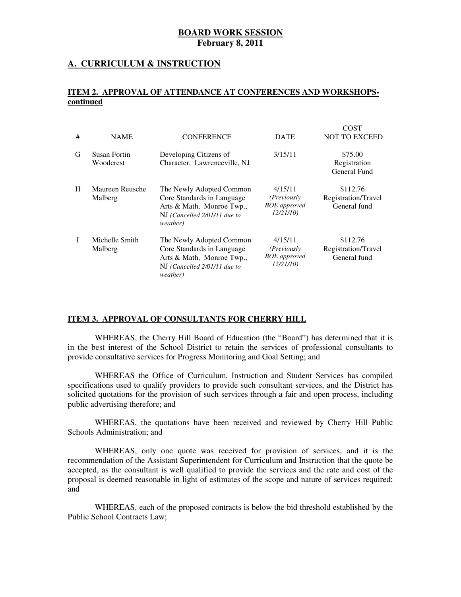## **A. CURRICULUM & INSTRUCTION**

### **ITEM 2. APPROVAL OF ATTENDANCE AT CONFERENCES AND WORKSHOPScontinued**

| # | <b>NAME</b>                | <b>CONFERENCE</b>                                                                                                               | <b>DATE</b>                                                       | COST<br><b>NOT TO EXCEED</b>                    |
|---|----------------------------|---------------------------------------------------------------------------------------------------------------------------------|-------------------------------------------------------------------|-------------------------------------------------|
|   |                            |                                                                                                                                 |                                                                   |                                                 |
| G | Susan Fortin<br>Woodcrest  | Developing Citizens of<br>Character, Lawrenceville, NJ                                                                          | 3/15/11                                                           | \$75.00<br>Registration<br>General Fund         |
| H | Maureen Reusche<br>Malberg | The Newly Adopted Common<br>Core Standards in Language<br>Arts & Math, Monroe Twp.,<br>NJ (Cancelled 2/01/11 due to<br>weather) | 4/15/11<br>(Previously<br><b>BOE</b> approved<br>12/21/10         | \$112.76<br>Registration/Travel<br>General fund |
| T | Michelle Smith<br>Malberg  | The Newly Adopted Common<br>Core Standards in Language<br>Arts & Math, Monroe Twp.,<br>NJ (Cancelled 2/01/11 due to<br>weather) | 4/15/11<br>( <i>Previously</i><br><b>BOE</b> approved<br>12/21/10 | \$112.76<br>Registration/Travel<br>General fund |

### **ITEM 3. APPROVAL OF CONSULTANTS FOR CHERRY HILL**

 WHEREAS, the Cherry Hill Board of Education (the "Board") has determined that it is in the best interest of the School District to retain the services of professional consultants to provide consultative services for Progress Monitoring and Goal Setting; and

 WHEREAS the Office of Curriculum, Instruction and Student Services has compiled specifications used to qualify providers to provide such consultant services, and the District has solicited quotations for the provision of such services through a fair and open process, including public advertising therefore; and

 WHEREAS, the quotations have been received and reviewed by Cherry Hill Public Schools Administration; and

 WHEREAS, only one quote was received for provision of services, and it is the recommendation of the Assistant Superintendent for Curriculum and Instruction that the quote be accepted, as the consultant is well qualified to provide the services and the rate and cost of the proposal is deemed reasonable in light of estimates of the scope and nature of services required; and

 WHEREAS, each of the proposed contracts is below the bid threshold established by the Public School Contracts Law;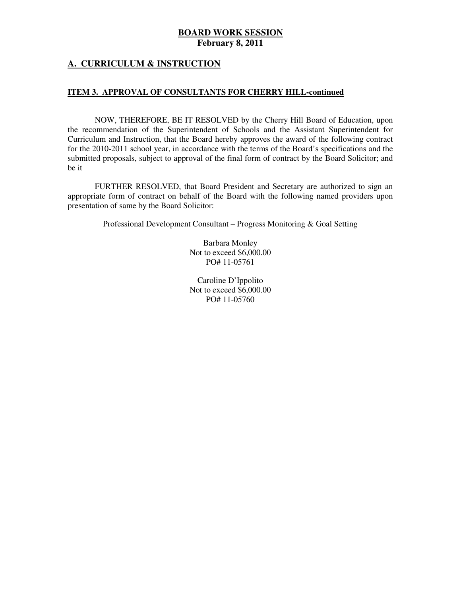### **A. CURRICULUM & INSTRUCTION**

### **ITEM 3. APPROVAL OF CONSULTANTS FOR CHERRY HILL-continued**

 NOW, THEREFORE, BE IT RESOLVED by the Cherry Hill Board of Education, upon the recommendation of the Superintendent of Schools and the Assistant Superintendent for Curriculum and Instruction, that the Board hereby approves the award of the following contract for the 2010-2011 school year, in accordance with the terms of the Board's specifications and the submitted proposals, subject to approval of the final form of contract by the Board Solicitor; and be it

 FURTHER RESOLVED, that Board President and Secretary are authorized to sign an appropriate form of contract on behalf of the Board with the following named providers upon presentation of same by the Board Solicitor:

Professional Development Consultant – Progress Monitoring & Goal Setting

 Barbara Monley Not to exceed \$6,000.00 PO# 11-05761

 Caroline D'Ippolito Not to exceed \$6,000.00 PO# 11-05760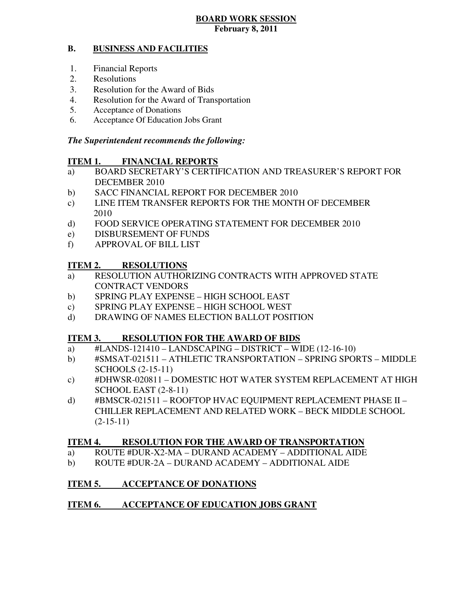### **B. BUSINESS AND FACILITIES**

- 1. Financial Reports
- 2. Resolutions
- 3. Resolution for the Award of Bids
- 4. Resolution for the Award of Transportation
- 5. Acceptance of Donations
- 6. Acceptance Of Education Jobs Grant

# *The Superintendent recommends the following:*

### **ITEM 1. FINANCIAL REPORTS**

- a) BOARD SECRETARY'S CERTIFICATION AND TREASURER'S REPORT FOR DECEMBER 2010
- $b)$ SACC FINANCIAL REPORT FOR DECEMBER 2010
- $\mathbf{c})$ LINE ITEM TRANSFER REPORTS FOR THE MONTH OF DECEMBER 2010
- $\mathbf{d}$ FOOD SERVICE OPERATING STATEMENT FOR DECEMBER 2010
- e) DISBURSEMENT OF FUNDS
- f) APPROVAL OF BILL LIST

### **ITEM 2. RESOLUTIONS**

- a) RESOLUTION AUTHORIZING CONTRACTS WITH APPROVED STATE CONTRACT VENDORS
- b) SPRING PLAY EXPENSE HIGH SCHOOL EAST
- c) SPRING PLAY EXPENSE HIGH SCHOOL WEST
- d) DRAWING OF NAMES ELECTION BALLOT POSITION

### **ITEM 3. RESOLUTION FOR THE AWARD OF BIDS**

- a) #LANDS-121410 LANDSCAPING DISTRICT WIDE (12-16-10)
- b) #SMSAT-021511 ATHLETIC TRANSPORTATION SPRING SPORTS MIDDLE SCHOOLS (2-15-11)
- c) #DHWSR-020811 DOMESTIC HOT WATER SYSTEM REPLACEMENT AT HIGH SCHOOL EAST (2-8-11)
- d) #BMSCR-021511 ROOFTOP HVAC EQUIPMENT REPLACEMENT PHASE II CHILLER REPLACEMENT AND RELATED WORK – BECK MIDDLE SCHOOL  $(2-15-11)$

### **ITEM 4. RESOLUTION FOR THE AWARD OF TRANSPORTATION**

- a) ROUTE #DUR-X2-MA DURAND ACADEMY ADDITIONAL AIDE
- b) ROUTE #DUR-2A DURAND ACADEMY ADDITIONAL AIDE

### **ITEM 5. INCCEPTANCE OF DONATIONS**

### **ITEM 6. INCOLATION ACCEPTANCE OF EDUCATION JOBS GRANT**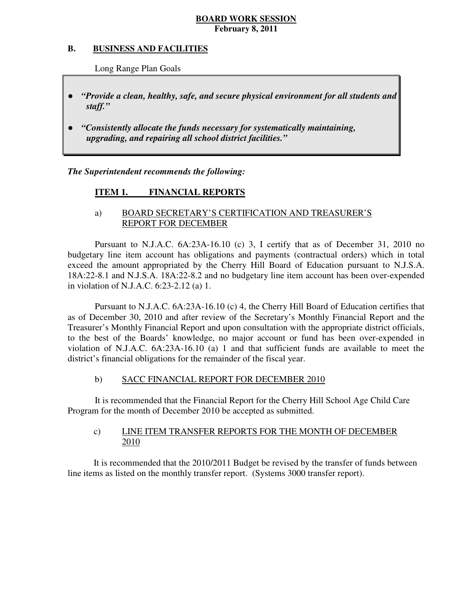### **B. B. BUSINESS AND FACILITIES**

Long Range Plan Goals

- *"Provide a clean, healthy, safe, and secure physical environment for all students and staff."*
- *"Consistently allocate the funds necessary for systematically maintaining, upgrading, and repairing all school district facilities."*

 *The Superintendent recommends the following:* 

### **ITEM 1. FINANCIAL REPORTS**

# a) BOARD SECRETARY'S CERTIFICATION AND TREASURER'S REPORT FOR DECEMBER

 Pursuant to N.J.A.C. 6A:23A-16.10 (c) 3, I certify that as of December 31, 2010 no budgetary line item account has obligations and payments (contractual orders) which in total exceed the amount appropriated by the Cherry Hill Board of Education pursuant to N.J.S.A. 18A:22-8.1 and N.J.S.A. 18A:22-8.2 and no budgetary line item account has been over-expended in violation of N.J.A.C. 6:23-2.12 (a) 1.

 Pursuant to N.J.A.C. 6A:23A-16.10 (c) 4, the Cherry Hill Board of Education certifies that as of December 30, 2010 and after review of the Secretary's Monthly Financial Report and the Treasurer's Monthly Financial Report and upon consultation with the appropriate district officials, to the best of the Boards' knowledge, no major account or fund has been over-expended in violation of N.J.A.C. 6A:23A-16.10 (a) 1 and that sufficient funds are available to meet the district's financial obligations for the remainder of the fiscal year.

### $b)$ SACC FINANCIAL REPORT FOR DECEMBER 2010

 It is recommended that the Financial Report for the Cherry Hill School Age Child Care Program for the month of December 2010 be accepted as submitted.

### $c)$ LINE ITEM TRANSFER REPORTS FOR THE MONTH OF DECEMBER 2010

 It is recommended that the 2010/2011 Budget be revised by the transfer of funds between line items as listed on the monthly transfer report. (Systems 3000 transfer report).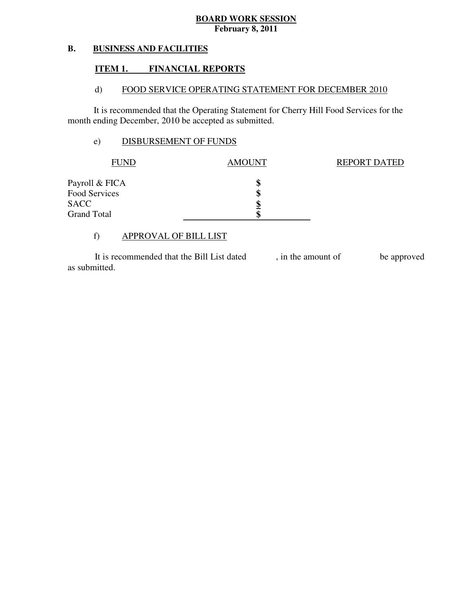### **B. BUSINESS AND FACILITIES**

### **ITEM 1. FINANCIAL REPORTS**

### $\mathbf{d}$ FOOD SERVICE OPERATING STATEMENT FOR DECEMBER 2010

 It is recommended that the Operating Statement for Cherry Hill Food Services for the month ending December, 2010 be accepted as submitted.

# e) DISBURSEMENT OF FUNDS

| AMOUNT | <b>REPORT DATED</b> |
|--------|---------------------|
| \$     |                     |
| J      |                     |
| Φ      |                     |
|        |                     |
|        |                     |

# f) APPROVAL OF BILL LIST

 as submitted. It is recommended that the Bill List dated , in the amount of be approved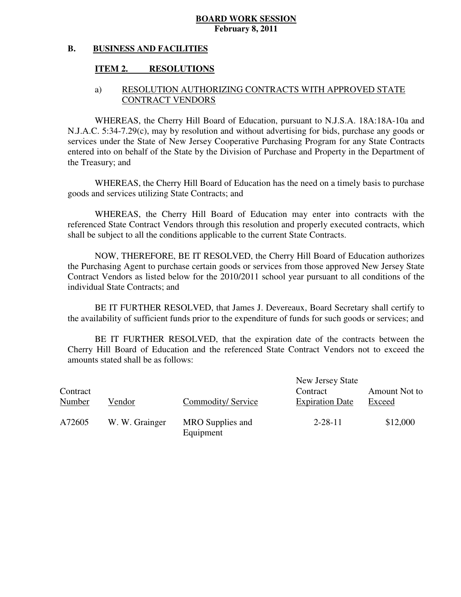### **B. BUSINESS AND FACILITIES**

### **ITEM 2. RESOLUTIONS**

## a) RESOLUTION AUTHORIZING CONTRACTS WITH APPROVED STATE CONTRACT VENDORS

 WHEREAS, the Cherry Hill Board of Education, pursuant to N.J.S.A. 18A:18A-10a and N.J.A.C. 5:34-7.29(c), may by resolution and without advertising for bids, purchase any goods or services under the State of New Jersey Cooperative Purchasing Program for any State Contracts entered into on behalf of the State by the Division of Purchase and Property in the Department of the Treasury; and

 WHEREAS, the Cherry Hill Board of Education has the need on a timely basis to purchase goods and services utilizing State Contracts; and

 WHEREAS, the Cherry Hill Board of Education may enter into contracts with the referenced State Contract Vendors through this resolution and properly executed contracts, which shall be subject to all the conditions applicable to the current State Contracts.

 NOW, THEREFORE, BE IT RESOLVED, the Cherry Hill Board of Education authorizes the Purchasing Agent to purchase certain goods or services from those approved New Jersey State Contract Vendors as listed below for the 2010/2011 school year pursuant to all conditions of the individual State Contracts; and

 the availability of sufficient funds prior to the expenditure of funds for such goods or services; and BE IT FURTHER RESOLVED, that James J. Devereaux, Board Secretary shall certify to

 Cherry Hill Board of Education and the referenced State Contract Vendors not to exceed the amounts stated shall be as follows: BE IT FURTHER RESOLVED, that the expiration date of the contracts between the

| Contract<br>Number | Vendor         | Commodity/Service             | New Jersey State<br>Contract<br><b>Expiration Date</b> | Amount Not to<br>Exceed |
|--------------------|----------------|-------------------------------|--------------------------------------------------------|-------------------------|
| A72605             | W. W. Grainger | MRO Supplies and<br>Equipment | $2 - 28 - 11$                                          | \$12,000                |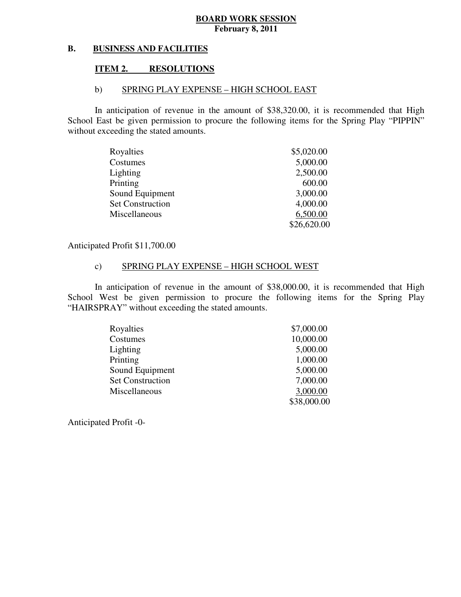### **B. BUSINESS AND FACILITIES**

### **ITEM 2. RESOLUTIONS**

### b) SPRING PLAY EXPENSE – HIGH SCHOOL EAST

 In anticipation of revenue in the amount of \$38,320.00, it is recommended that High School East be given permission to procure the following items for the Spring Play "PIPPIN" without exceeding the stated amounts.

| Royalties               | \$5,020.00  |
|-------------------------|-------------|
| Costumes                | 5,000.00    |
| Lighting                | 2,500.00    |
| Printing                | 600.00      |
| Sound Equipment         | 3,000.00    |
| <b>Set Construction</b> | 4,000.00    |
| Miscellaneous           | 6,500.00    |
|                         | \$26,620.00 |

Anticipated Profit \$11,700.00

# c) SPRING PLAY EXPENSE – HIGH SCHOOL WEST

 In anticipation of revenue in the amount of \$38,000.00, it is recommended that High School West be given permission to procure the following items for the Spring Play "HAIRSPRAY" without exceeding the stated amounts.

| Royalties               | \$7,000.00  |
|-------------------------|-------------|
| Costumes                | 10,000.00   |
| Lighting                | 5,000.00    |
| Printing                | 1,000.00    |
| Sound Equipment         | 5,000.00    |
| <b>Set Construction</b> | 7,000.00    |
| Miscellaneous           | 3,000.00    |
|                         | \$38,000.00 |

Anticipated Profit -0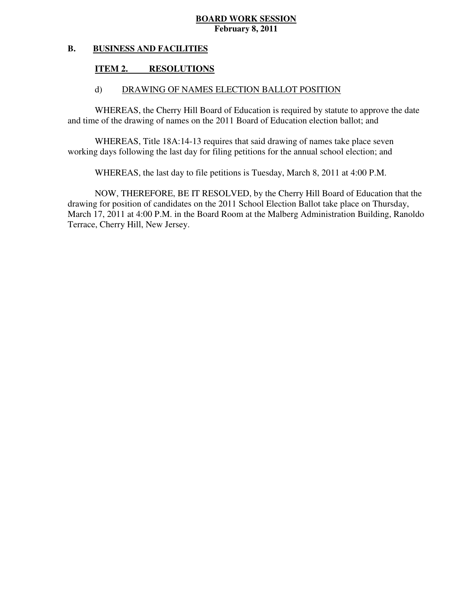### **B. BUSINESS AND FACILITIES**

### **ITEM 2. RESOLUTIONS**

## d) DRAWING OF NAMES ELECTION BALLOT POSITION

 WHEREAS, the Cherry Hill Board of Education is required by statute to approve the date and time of the drawing of names on the 2011 Board of Education election ballot; and

 WHEREAS, Title 18A:14-13 requires that said drawing of names take place seven working days following the last day for filing petitions for the annual school election; and

WHEREAS, the last day to file petitions is Tuesday, March 8, 2011 at 4:00 P.M.

 NOW, THEREFORE, BE IT RESOLVED, by the Cherry Hill Board of Education that the drawing for position of candidates on the 2011 School Election Ballot take place on Thursday, March 17, 2011 at 4:00 P.M. in the Board Room at the Malberg Administration Building, Ranoldo Terrace, Cherry Hill, New Jersey.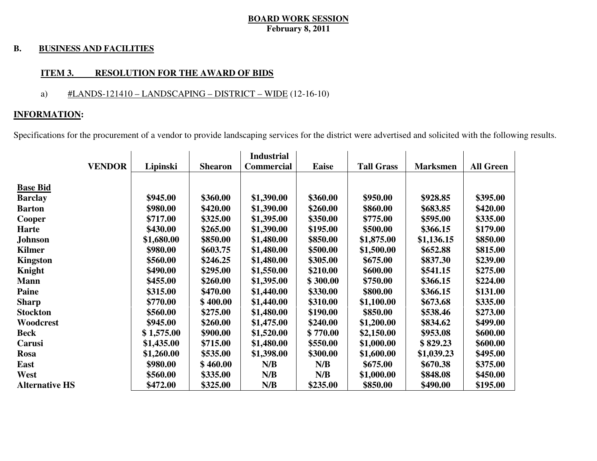### **B. BUSINESS AND FACILITIES**

### **ITEM 3. RESOLUTION FOR THE AWARD OF BIDS**

# a)  $\#LANDS-121410 - LANDSCAPING - DISTRICT - WIDE (12-16-10)$

### **INFORMATION:**

Specifications for the procurement of a vendor to provide landscaping services for the district were advertised and solicited with the following results.

|                       |            |                | <b>Industrial</b> |              |                   |                 |                  |
|-----------------------|------------|----------------|-------------------|--------------|-------------------|-----------------|------------------|
| <b>VENDOR</b>         | Lipinski   | <b>Shearon</b> | <b>Commercial</b> | <b>Eaise</b> | <b>Tall Grass</b> | <b>Marksmen</b> | <b>All Green</b> |
|                       |            |                |                   |              |                   |                 |                  |
| <b>Base Bid</b>       |            |                |                   |              |                   |                 |                  |
| <b>Barclay</b>        | \$945.00   | \$360.00       | \$1,390.00        | \$360.00     | \$950.00          | \$928.85        | \$395.00         |
| <b>Barton</b>         | \$980.00   | \$420.00       | \$1,390.00        | \$260.00     | \$860.00          | \$683.85        | \$420.00         |
| Cooper                | \$717.00   | \$325.00       | \$1,395.00        | \$350.00     | \$775.00          | \$595.00        | \$335.00         |
| Harte                 | \$430.00   | \$265.00       | \$1,390.00        | \$195.00     | \$500.00          | \$366.15        | \$179.00         |
| <b>Johnson</b>        | \$1,680.00 | \$850.00       | \$1,480.00        | \$850.00     | \$1,875.00        | \$1,136.15      | \$850.00         |
| <b>Kilmer</b>         | \$980.00   | \$603.75       | \$1,480.00        | \$500.00     | \$1,500.00        | \$652.88        | \$815.00         |
| <b>Kingston</b>       | \$560.00   | \$246.25       | \$1,480.00        | \$305.00     | \$675.00          | \$837.30        | \$239.00         |
| Knight                | \$490.00   | \$295.00       | \$1,550.00        | \$210.00     | \$600.00          | \$541.15        | \$275.00         |
| <b>Mann</b>           | \$455.00   | \$260.00       | \$1,395.00        | \$300.00     | \$750.00          | \$366.15        | \$224.00         |
| <b>Paine</b>          | \$315.00   | \$470.00       | \$1,440.00        | \$330.00     | \$800.00          | \$366.15        | \$131.00         |
| <b>Sharp</b>          | \$770.00   | \$400.00       | \$1,440.00        | \$310.00     | \$1,100.00        | \$673.68        | \$335.00         |
| <b>Stockton</b>       | \$560.00   | \$275.00       | \$1,480.00        | \$190.00     | \$850.00          | \$538.46        | \$273.00         |
| Woodcrest             | \$945.00   | \$260.00       | \$1,475.00        | \$240.00     | \$1,200.00        | \$834.62        | \$499.00         |
| <b>Beck</b>           | \$1,575.00 | \$900.00       | \$1,520.00        | \$770.00     | \$2,150.00        | \$953.08        | \$600.00         |
| Carusi                | \$1,435.00 | \$715.00       | \$1,480.00        | \$550.00     | \$1,000.00        | \$829.23        | \$600.00         |
| Rosa                  | \$1,260.00 | \$535.00       | \$1,398.00        | \$300.00     | \$1,600.00        | \$1,039.23      | \$495.00         |
| East                  | \$980.00   | \$460.00       | N/B               | N/B          | \$675.00          | \$670.38        | \$375.00         |
| West                  | \$560.00   | \$335.00       | N/B               | N/B          | \$1,000.00        | \$848.08        | \$450.00         |
| <b>Alternative HS</b> | \$472.00   | \$325.00       | N/B               | \$235.00     | \$850.00          | \$490.00        | \$195.00         |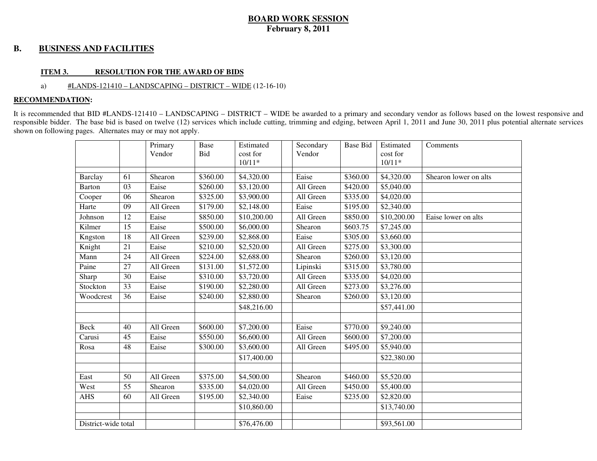### **B. BUSINESS AND FACILITIES**

### **ITEM 3. RESOLUTION FOR THE AWARD OF BIDS**

### a) #LANDS-121410 – LANDSCAPING – DISTRICT – WIDE (12-16-10)

### **RECOMMENDATION:**

It is recommended that BID #LANDS-121410 – LANDSCAPING – DISTRICT – WIDE be awarded to a primary and secondary vendor as follows based on the lowest responsive and responsible bidder. The base bid is based on twelve (12) services which include cutting, trimming and edging, between April 1, 2011 and June 30, 2011 plus potential alternate services shown on following pages. Alternates may or may not apply.

|                     |    | Primary   | Base     | Estimated   | Secondary | <b>Base Bid</b> | Estimated   | Comments              |
|---------------------|----|-----------|----------|-------------|-----------|-----------------|-------------|-----------------------|
|                     |    | Vendor    | Bid      | cost for    | Vendor    |                 | cost for    |                       |
|                     |    |           |          | $10/11*$    |           |                 | $10/11*$    |                       |
| <b>Barclay</b>      | 61 | Shearon   | \$360.00 | \$4,320.00  | Eaise     | \$360.00        | \$4,320.00  | Shearon lower on alts |
| <b>Barton</b>       | 03 | Eaise     | \$260.00 | \$3,120.00  | All Green | \$420.00        | \$5,040.00  |                       |
| Cooper              | 06 | Shearon   | \$325.00 | \$3,900.00  | All Green | \$335.00        | \$4,020.00  |                       |
| Harte               | 09 | All Green | \$179.00 | \$2,148.00  | Eaise     | \$195.00        | \$2,340.00  |                       |
| Johnson             | 12 | Eaise     | \$850.00 | \$10,200.00 | All Green | \$850.00        | \$10,200.00 | Eaise lower on alts   |
| Kilmer              | 15 | Eaise     | \$500.00 | \$6,000.00  | Shearon   | \$603.75        | \$7,245.00  |                       |
| Kngston             | 18 | All Green | \$239.00 | \$2,868.00  | Eaise     | \$305.00        | \$3,660.00  |                       |
| Knight              | 21 | Eaise     | \$210.00 | \$2,520.00  | All Green | \$275.00        | \$3,300.00  |                       |
| Mann                | 24 | All Green | \$224.00 | \$2,688.00  | Shearon   | \$260.00        | \$3,120.00  |                       |
| Paine               | 27 | All Green | \$131.00 | \$1,572.00  | Lipinski  | \$315.00        | \$3,780.00  |                       |
| Sharp               | 30 | Eaise     | \$310.00 | \$3,720.00  | All Green | \$335.00        | \$4,020.00  |                       |
| Stockton            | 33 | Eaise     | \$190.00 | \$2,280.00  | All Green | \$273.00        | \$3,276.00  |                       |
| Woodcrest           | 36 | Eaise     | \$240.00 | \$2,880.00  | Shearon   | \$260.00        | \$3,120.00  |                       |
|                     |    |           |          | \$48,216.00 |           |                 | \$57,441.00 |                       |
|                     |    |           |          |             |           |                 |             |                       |
| <b>Beck</b>         | 40 | All Green | \$600.00 | \$7,200.00  | Eaise     | \$770.00        | \$9,240.00  |                       |
| Carusi              | 45 | Eaise     | \$550.00 | \$6,600.00  | All Green | \$600.00        | \$7,200.00  |                       |
| Rosa                | 48 | Eaise     | \$300.00 | \$3,600.00  | All Green | \$495.00        | \$5,940.00  |                       |
|                     |    |           |          | \$17,400.00 |           |                 | \$22,380.00 |                       |
|                     |    |           |          |             |           |                 |             |                       |
| East                | 50 | All Green | \$375.00 | \$4,500.00  | Shearon   | \$460.00        | \$5,520.00  |                       |
| West                | 55 | Shearon   | \$335.00 | \$4,020.00  | All Green | \$450.00        | \$5,400.00  |                       |
| <b>AHS</b>          | 60 | All Green | \$195.00 | \$2,340.00  | Eaise     | \$235.00        | \$2,820.00  |                       |
|                     |    |           |          | \$10,860.00 |           |                 | \$13,740.00 |                       |
|                     |    |           |          |             |           |                 |             |                       |
| District-wide total |    |           |          | \$76,476.00 |           |                 | \$93,561.00 |                       |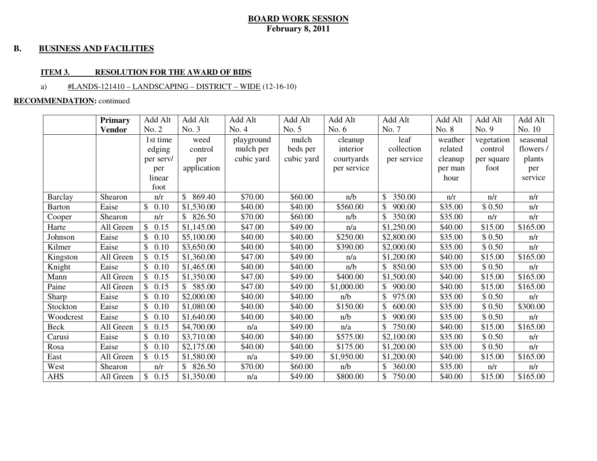### **B. BUSINESS AND FACILITIES**

### **ITEM 3. RESOLUTION FOR THE AWARD OF BIDS**

### a) #LANDS-121410 – LANDSCAPING – DISTRICT – WIDE (12-16-10)

### **RECOMMENDATION:** continued

|                | <b>Primary</b> | Add Alt              | Add Alt      | Add Alt    | Add Alt    | Add Alt     | Add Alt      | Add Alt | Add Alt    | Add Alt   |
|----------------|----------------|----------------------|--------------|------------|------------|-------------|--------------|---------|------------|-----------|
|                | <b>Vendor</b>  | No. 2                | No. 3        | No. 4      | No. 5      | No. $6$     | No. 7        | No. 8   | No. 9      | No. 10    |
|                |                | 1st time             | weed         | playground | mulch      | cleanup     | leaf         | weather | vegetation | seasonal  |
|                |                | edging               | control      | mulch per  | beds per   | interior    | collection   | related | control    | flowers / |
|                |                | per serv/            | per          | cubic yard | cubic yard | courtyards  | per service  | cleanup | per square | plants    |
|                |                | per                  | application  |            |            | per service |              | per man | foot       | per       |
|                |                | linear               |              |            |            |             |              | hour    |            | service   |
|                |                | foot                 |              |            |            |             |              |         |            |           |
| <b>Barclay</b> | Shearon        | n/r                  | 869.40<br>\$ | \$70.00    | \$60.00    | n/b         | 350.00<br>\$ | n/r     | n/r        | n/r       |
| <b>Barton</b>  | Eaise          | \$0.10               | \$1,530.00   | \$40.00    | \$40.00    | \$560.00    | 900.00       | \$35.00 | \$0.50     | n/r       |
| Cooper         | Shearon        | n/r                  | 826.50<br>\$ | \$70.00    | \$60.00    | n/b         | 350.00       | \$35.00 | n/r        | n/r       |
| Harte          | All Green      | \$0.15               | \$1,145.00   | \$47.00    | \$49.00    | n/a         | \$1,250.00   | \$40.00 | \$15.00    | \$165.00  |
| Johnson        | Eaise          | \$<br>0.10           | \$5,100.00   | \$40.00    | \$40.00    | \$250.00    | \$2,800.00   | \$35.00 | \$ 0.50    | n/r       |
| Kilmer         | Eaise          | 0.10                 | \$3,650.00   | \$40.00    | \$40.00    | \$390.00    | \$2,000.00   | \$35.00 | \$0.50     | n/r       |
| Kingston       | All Green      | $\mathbb{S}$<br>0.15 | \$1,360.00   | \$47.00    | \$49.00    | n/a         | \$1,200.00   | \$40.00 | \$15.00    | \$165.00  |
| Knight         | Eaise          | $\mathbb{S}$<br>0.10 | \$1,465.00   | \$40.00    | \$40.00    | n/b         | 850.00       | \$35.00 | \$0.50     | n/r       |
| Mann           | All Green      | \$0.15               | \$1,350.00   | \$47.00    | \$49.00    | \$400.00    | \$1,500.00   | \$40.00 | \$15.00    | \$165.00  |
| Paine          | All Green      | 0.15<br>\$           | 585.00<br>\$ | \$47.00    | \$49.00    | \$1,000.00  | 900.00       | \$40.00 | \$15.00    | \$165.00  |
| Sharp          | Eaise          | \$.<br>0.10          | \$2,000.00   | \$40.00    | \$40.00    | n/b         | 975.00       | \$35.00 | \$0.50     | n/r       |
| Stockton       | Eaise          | \$<br>0.10           | \$1,080.00   | \$40.00    | \$40.00    | \$150.00    | 600.00       | \$35.00 | \$0.50     | \$300.00  |
| Woodcrest      | Eaise          | $\mathbb{S}$<br>0.10 | \$1,640.00   | \$40.00    | \$40.00    | n/b         | \$<br>900.00 | \$35.00 | \$0.50     | n/r       |
| Beck           | All Green      | \$0.15               | \$4,700.00   | n/a        | \$49.00    | n/a         | 750.00       | \$40.00 | \$15.00    | \$165.00  |
| Carusi         | Eaise          | \$<br>0.10           | \$3,710.00   | \$40.00    | \$40.00    | \$575.00    | \$2,100.00   | \$35.00 | \$0.50     | n/r       |
| Rosa           | Eaise          | \$<br>0.10           | \$2,175.00   | \$40.00    | \$40.00    | \$175.00    | \$1,200.00   | \$35.00 | \$0.50     | n/r       |
| East           | All Green      | \$0.15               | \$1,580.00   | n/a        | \$49.00    | \$1,950.00  | \$1,200.00   | \$40.00 | \$15.00    | \$165.00  |
| West           | Shearon        | n/r                  | \$<br>826.50 | \$70.00    | \$60.00    | n/b         | 360.00       | \$35.00 | n/r        | n/r       |
| <b>AHS</b>     | All Green      | \$0.15               | \$1,350.00   | n/a        | \$49.00    | \$800.00    | \$<br>750.00 | \$40.00 | \$15.00    | \$165.00  |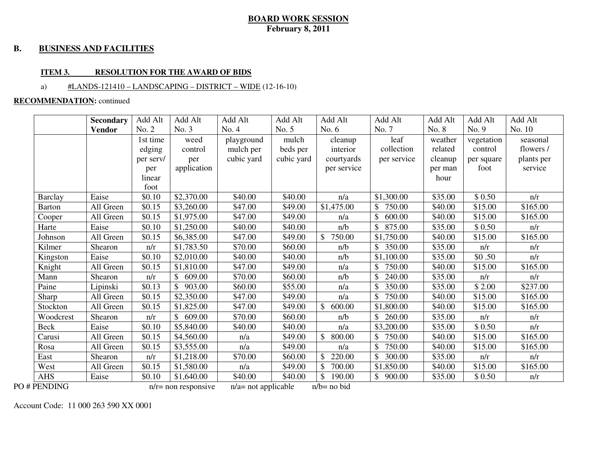### **B. BUSINESS AND FACILITIES**

### **ITEM 3. RESOLUTION FOR THE AWARD OF BIDS**

### a) #LANDS-121410 – LANDSCAPING – DISTRICT – WIDE (12-16-10)

### **RECOMMENDATION:** continued

|                | <b>Secondary</b> | Add Alt   | Add Alt                 | Add Alt                | Add Alt    | Add Alt                | Add Alt                | Add Alt | Add Alt    | Add Alt    |
|----------------|------------------|-----------|-------------------------|------------------------|------------|------------------------|------------------------|---------|------------|------------|
|                | <b>Vendor</b>    | No. 2     | No. 3                   | No. 4                  | No. 5      | No. 6                  | No. 7                  | No. 8   | No. 9      | No. 10     |
|                |                  | 1st time  | weed                    | playground             | mulch      | cleanup                | leaf                   | weather | vegetation | seasonal   |
|                |                  | edging    | control                 | mulch per              | beds per   | interior               | collection             | related | control    | flowers /  |
|                |                  | per serv/ | per                     | cubic yard             | cubic yard | courtyards             | per service            | cleanup | per square | plants per |
|                |                  | per       | application             |                        |            | per service            |                        | per man | foot       | service    |
|                |                  | linear    |                         |                        |            |                        |                        | hour    |            |            |
|                |                  | foot      |                         |                        |            |                        |                        |         |            |            |
| <b>Barclay</b> | Eaise            | \$0.10    | \$2,370.00              | \$40.00                | \$40.00    | n/a                    | \$1,300.00             | \$35.00 | \$0.50     | n/r        |
| <b>Barton</b>  | All Green        | \$0.15    | \$3,260.00              | \$47.00                | \$49.00    | \$1,475.00             | 750.00                 | \$40.00 | \$15.00    | \$165.00   |
| Cooper         | All Green        | \$0.15    | \$1,975.00              | \$47.00                | \$49.00    | n/a                    | \$<br>600.00           | \$40.00 | \$15.00    | \$165.00   |
| Harte          | Eaise            | \$0.10    | \$1,250.00              | \$40.00                | \$40.00    | n/b                    | \$<br>875.00           | \$35.00 | \$0.50     | n/r        |
| Johnson        | All Green        | \$0.15    | \$6,385.00              | \$47.00                | \$49.00    | $\mathbb{S}$<br>750.00 | \$1,750.00             | \$40.00 | \$15.00    | \$165.00   |
| Kilmer         | Shearon          | n/r       | \$1,783.50              | \$70.00                | \$60.00    | n/b                    | $\mathbb{S}$<br>350.00 | \$35.00 | n/r        | n/r        |
| Kingston       | Eaise            | \$0.10    | \$2,010.00              | \$40.00                | \$40.00    | n/b                    | \$1,100.00             | \$35.00 | \$0.50     | n/r        |
| Knight         | All Green        | \$0.15    | \$1,810.00              | \$47.00                | \$49.00    | n/a                    | 750.00                 | \$40.00 | \$15.00    | \$165.00   |
| Mann           | Shearon          | n/r       | \$<br>609.00            | \$70.00                | \$60.00    | n/b                    | \$<br>240.00           | \$35.00 | n/r        | n/r        |
| Paine          | Lipinski         | \$0.13    | $\mathsf{\$}$<br>903.00 | \$60.00                | \$55.00    | n/a                    | \$<br>350.00           | \$35.00 | \$2.00     | \$237.00   |
| Sharp          | All Green        | \$0.15    | \$2,350.00              | \$47.00                | \$49.00    | n/a                    | 750.00                 | \$40.00 | \$15.00    | \$165.00   |
| Stockton       | All Green        | \$0.15    | \$1,825.00              | \$47.00                | \$49.00    | \$600.00               | \$1,800.00             | \$40.00 | \$15.00    | \$165.00   |
| Woodcrest      | Shearon          | n/r       | $\mathbb{S}$<br>609.00  | \$70.00                | \$60.00    | n/b                    | \$<br>260.00           | \$35.00 | n/r        | n/r        |
| <b>Beck</b>    | Eaise            | \$0.10    | \$5,840.00              | \$40.00                | \$40.00    | n/a                    | \$3,200.00             | \$35.00 | \$0.50     | n/r        |
| Carusi         | All Green        | \$0.15    | \$4,560.00              | n/a                    | \$49.00    | \$800.00               | 750.00                 | \$40.00 | \$15.00    | \$165.00   |
| Rosa           | All Green        | \$0.15    | \$3,555.00              | n/a                    | \$49.00    | n/a                    | 750.00                 | \$40.00 | \$15.00    | \$165.00   |
| East           | Shearon          | n/r       | \$1,218.00              | \$70.00                | \$60.00    | $\mathbb{S}$<br>220.00 | \$<br>300.00           | \$35.00 | n/r        | n/r        |
| West           | All Green        | \$0.15    | \$1,580.00              | n/a                    | \$49.00    | \$<br>700.00           | \$1,850.00             | \$40.00 | \$15.00    | \$165.00   |
| <b>AHS</b>     | Eaise            | \$0.10    | \$1,640.00              | \$40.00                | \$40.00    | \$<br>190.00           | $\mathbb{S}$<br>900.00 | \$35.00 | \$0.50     | n/r        |
| PO#PENDING     |                  |           | $n/r$ = non responsive  | $n/a$ = not applicable |            | $n/b = no bid$         |                        |         |            |            |

Account Code: 11 000 263 590 XX 0001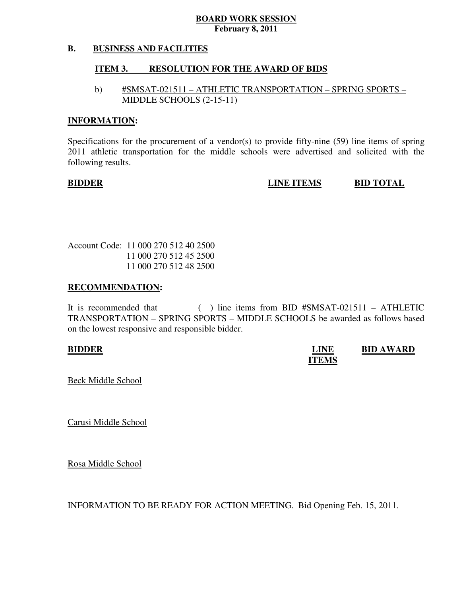### **B. BUSINESS AND FACILITIES**

### **ITEM 3. RESOLUTION FOR THE AWARD OF BIDS**

# b) #SMSAT-021511 – ATHLETIC TRANSPORTATION – SPRING SPORTS – MIDDLE SCHOOLS (2-15-11)

### **INFORMATION:**

 Specifications for the procurement of a vendor(s) to provide fifty-nine (59) line items of spring 2011 athletic transportation for the middle schools were advertised and solicited with the following results.

**EIDDER EIDDER EINE ITEMS BID TOTAL** 

 Account Code: 11 000 270 512 40 2500 11 000 270 512 45 2500 11 000 270 512 48 2500

### **RECOMMENDATION:**

It is recommended that TRANSPORTATION – SPRING SPORTS – MIDDLE SCHOOLS be awarded as follows based on the lowest responsive and responsible bidder.  $($  ) line items from BID #SMSAT-021511 – ATHLETIC

**BIDDER** BID AWARD **ITEMS** 

Beck Middle School

Carusi Middle School

Rosa Middle School

INFORMATION TO BE READY FOR ACTION MEETING. Bid Opening Feb. 15, 2011.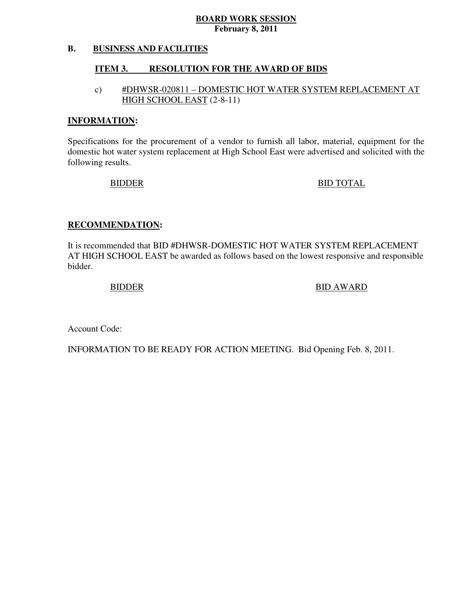### **B. BUSINESS AND FACILITIES**

### **ITEM 3. RESOLUTION FOR THE AWARD OF BIDS**

# c) #DHWSR-020811 – DOMESTIC HOT WATER SYSTEM REPLACEMENT AT HIGH SCHOOL EAST (2-8-11)

### **INFORMATION:**

 Specifications for the procurement of a vendor to furnish all labor, material, equipment for the domestic hot water system replacement at High School East were advertised and solicited with the following results.

BIDDER BID TOTAL

### **RECOMMENDATION:**

 It is recommended that BID #DHWSR-DOMESTIC HOT WATER SYSTEM REPLACEMENT AT HIGH SCHOOL EAST be awarded as follows based on the lowest responsive and responsible bidder.

BIDDER BID AWARD

Account Code:

INFORMATION TO BE READY FOR ACTION MEETING. Bid Opening Feb. 8, 2011.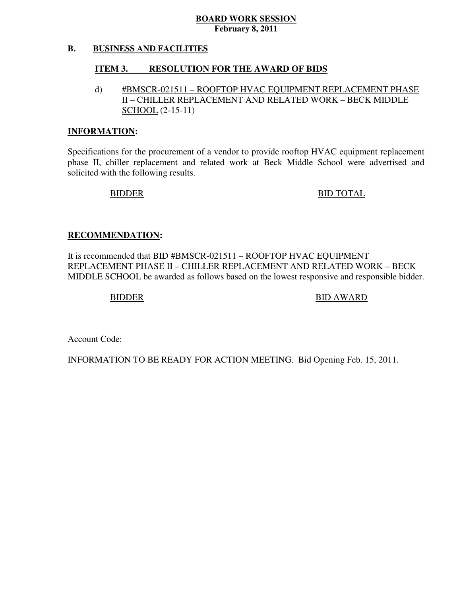### **B. BUSINESS AND FACILITIES**

### **ITEM 3. RESOLUTION FOR THE AWARD OF BIDS**

d) #BMSCR-021511 – ROOFTOP HVAC EQUIPMENT REPLACEMENT PHASE II – CHILLER REPLACEMENT AND RELATED WORK – BECK MIDDLE SCHOOL (2-15-11)

### **INFORMATION:**

 Specifications for the procurement of a vendor to provide rooftop HVAC equipment replacement phase II, chiller replacement and related work at Beck Middle School were advertised and solicited with the following results.

BIDDER BID TOTAL

### **RECOMMENDATION:**

 It is recommended that BID #BMSCR-021511 – ROOFTOP HVAC EQUIPMENT REPLACEMENT PHASE II – CHILLER REPLACEMENT AND RELATED WORK – BECK MIDDLE SCHOOL be awarded as follows based on the lowest responsive and responsible bidder.

BIDDER BID AWARD

Account Code:

INFORMATION TO BE READY FOR ACTION MEETING. Bid Opening Feb. 15, 2011.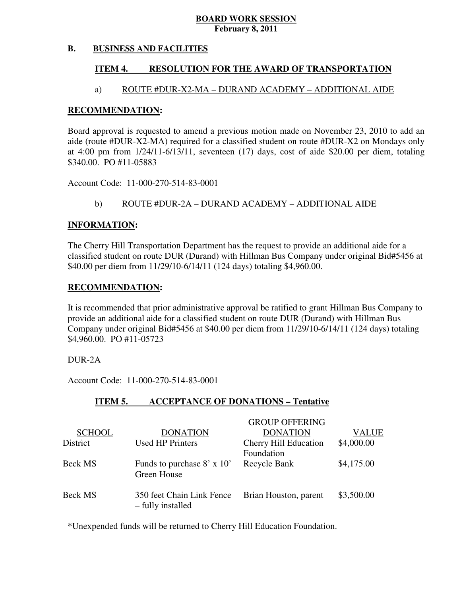### **B. BUSINESS AND FACILITIES**

### **ITEM 4. RESOLUTION FOR THE AWARD OF TRANSPORTATION**

## a) ROUTE #DUR-X2-MA – DURAND ACADEMY – ADDITIONAL AIDE

### **RECOMMENDATION:**

 Board approval is requested to amend a previous motion made on November 23, 2010 to add an aide (route #DUR-X2-MA) required for a classified student on route #DUR-X2 on Mondays only at 4:00 pm from 1/24/11-6/13/11, seventeen (17) days, cost of aide \$20.00 per diem, totaling \$340.00. PO #11-05883

Account Code: 11-000-270-514-83-0001

## b) ROUTE #DUR-2A – DURAND ACADEMY – ADDITIONAL AIDE

### **INFORMATION:**

 The Cherry Hill Transportation Department has the request to provide an additional aide for a classified student on route DUR (Durand) with Hillman Bus Company under original Bid#5456 at \$40.00 per diem from 11/29/10-6/14/11 (124 days) totaling \$4,960.00.

### **RECOMMENDATION:**

 It is recommended that prior administrative approval be ratified to grant Hillman Bus Company to provide an additional aide for a classified student on route DUR (Durand) with Hillman Bus Company under original Bid#5456 at \$40.00 per diem from 11/29/10-6/14/11 (124 days) totaling \$4,960.00. PO #11-05723

DUR-2A

Account Code: 11-000-270-514-83-0001

### **ITEM 5. INCOLATIONS - Tentative**

|                |                                                  | <b>GROUP OFFERING</b> |              |
|----------------|--------------------------------------------------|-----------------------|--------------|
| <b>SCHOOL</b>  | <b>DONATION</b>                                  | <b>DONATION</b>       | <b>VALUE</b> |
| District       | <b>Used HP Printers</b>                          | Cherry Hill Education | \$4,000.00   |
|                |                                                  | Foundation            |              |
| <b>Beck MS</b> | Funds to purchase $8' \times 10'$<br>Green House | Recycle Bank          | \$4,175.00   |
| <b>Beck MS</b> | 350 feet Chain Link Fence<br>- fully installed   | Brian Houston, parent | \$3,500.00   |

\*Unexpended funds will be returned to Cherry Hill Education Foundation.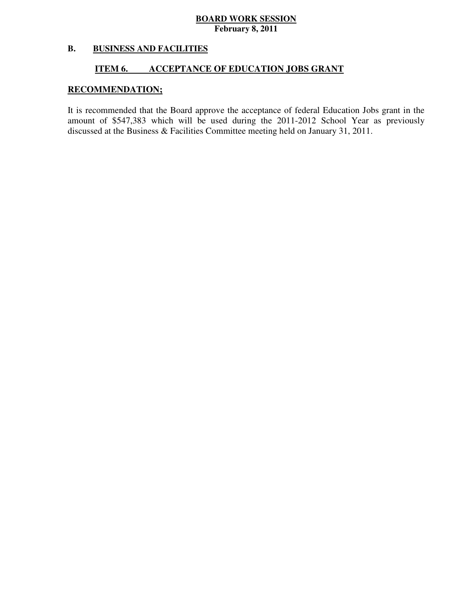### **B. BUSINESS AND FACILITIES**

### **ITEM 6. INCCEPTANCE OF EDUCATION JOBS GRANT**

# **RECOMMENDATION;**

 It is recommended that the Board approve the acceptance of federal Education Jobs grant in the amount of \$547,383 which will be used during the 2011-2012 School Year as previously discussed at the Business & Facilities Committee meeting held on January 31, 2011.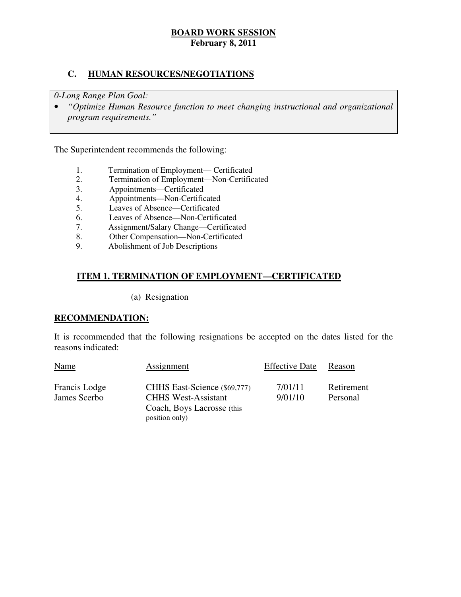# **C. HUMAN RESOURCES/NEGOTIATIONS**

 *0-Long Range Plan Goal:* 

**•** "Optimize Human Resource function to meet changing instructional and organizational *program requirements."* 

The Superintendent recommends the following:

- 1. Termination of Employment— Certificated<br>2. Termination of Employment—Non-Certific
- 2. Termination of Employment—Non-Certificated
- 3. Appointments—Certificated
- 4. Appointments—Non-Certificated
- 5. Leaves of Absence—Certificated
- 6. Leaves of Absence—Non-Certificated
- 7. Assignment/Salary Change—Certificated
- 8. Other Compensation—Non-Certificated<br>9. Abolishment of Job Descriptions
- 9. Abolishment of Job Descriptions

# **ITEM 1. TERMINATION OF EMPLOYMENT—CERTIFICATED**

### (a) Resignation

## **RECOMMENDATION:**

 It is recommended that the following resignations be accepted on the dates listed for the reasons indicated:

| Name                          | Assignment                                                                               | <b>Effective Date</b> | Reason                 |
|-------------------------------|------------------------------------------------------------------------------------------|-----------------------|------------------------|
| Francis Lodge<br>James Scerbo | CHHS East-Science (\$69,777)<br><b>CHHS West-Assistant</b><br>Coach, Boys Lacrosse (this | 7/01/11<br>9/01/10    | Retirement<br>Personal |
|                               | position only)                                                                           |                       |                        |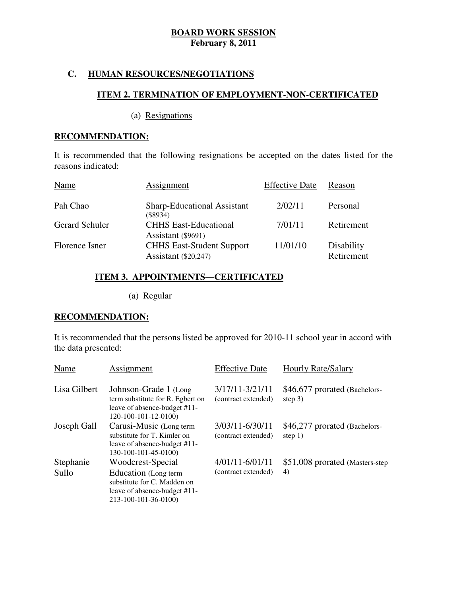# **C. HUMAN RESOURCES/NEGOTIATIONS**

# **ITEM 2. TERMINATION OF EMPLOYMENT-NON-CERTIFICATED**

(a) Resignations

### **RECOMMENDATION:**

 It is recommended that the following resignations be accepted on the dates listed for the reasons indicated:

| Name                  | Assignment                                               | <b>Effective Date</b> | Reason                   |
|-----------------------|----------------------------------------------------------|-----------------------|--------------------------|
| Pah Chao              | <b>Sharp-Educational Assistant</b><br>(S8934)            | 2/02/11               | Personal                 |
| <b>Gerard Schuler</b> | <b>CHHS East-Educational</b><br>Assistant (\$9691)       | 7/01/11               | Retirement               |
| Florence Isner        | <b>CHHS East-Student Support</b><br>Assistant (\$20,247) | 11/01/10              | Disability<br>Retirement |

## **ITEM 3. APPOINTMENTS—CERTIFICATED**

(a) Regular

# **RECOMMENDATION:**

 It is recommended that the persons listed be approved for 2010-11 school year in accord with the data presented:

| Name               | Assignment                                                                                                                       | <b>Effective Date</b>                  | <b>Hourly Rate/Salary</b>                  |
|--------------------|----------------------------------------------------------------------------------------------------------------------------------|----------------------------------------|--------------------------------------------|
| Lisa Gilbert       | Johnson-Grade 1 (Long)<br>term substitute for R. Egbert on<br>leave of absence-budget #11-<br>120-100-101-12-0100)               | 3/17/11-3/21/11<br>(contract extended) | \$46,677 prorated (Bachelors-<br>step $3)$ |
| Joseph Gall        | Carusi-Music (Long term<br>substitute for T. Kimler on<br>leave of absence-budget #11-<br>130-100-101-45-0100)                   | 3/03/11-6/30/11<br>(contract extended) | \$46,277 prorated (Bachelors-<br>step $1)$ |
| Stephanie<br>Sullo | Woodcrest-Special<br>Education (Long term<br>substitute for C. Madden on<br>leave of absence-budget #11-<br>213-100-101-36-0100) | 4/01/11-6/01/11<br>(contract extended) | \$51,008 prorated (Masters-step)<br>4)     |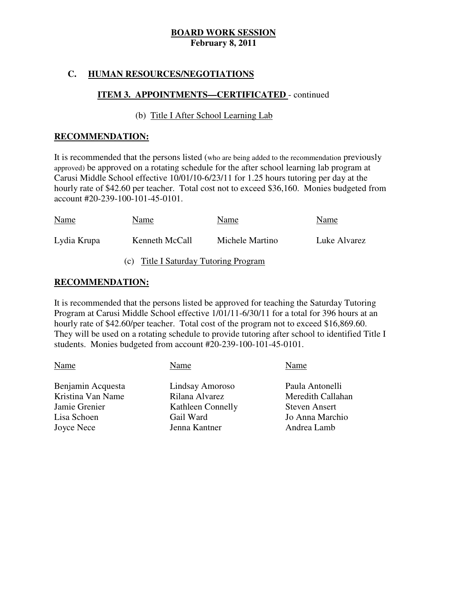# **C. HUMAN RESOURCES/NEGOTIATIONS**

# **ITEM 3. APPOINTMENTS—CERTIFICATED** - continued

# (b) Title I After School Learning Lab

## **RECOMMENDATION:**

 It is recommended that the persons listed (who are being added to the recommendation previously approved) be approved on a rotating schedule for the after school learning lab program at Carusi Middle School effective 10/01/10-6/23/11 for 1.25 hours tutoring per day at the hourly rate of \$42.60 per teacher. Total cost not to exceed \$36,160. Monies budgeted from account #20-239-100-101-45-0101.

| Name                                  | Name           | Name            | Name         |  |  |
|---------------------------------------|----------------|-----------------|--------------|--|--|
| Lydia Krupa                           | Kenneth McCall | Michele Martino | Luke Alvarez |  |  |
| (c) Title I Saturday Tutoring Program |                |                 |              |  |  |

# **RECOMMENDATION:**

 It is recommended that the persons listed be approved for teaching the Saturday Tutoring Program at Carusi Middle School effective 1/01/11-6/30/11 for a total for 396 hours at an hourly rate of \$42.60/per teacher. Total cost of the program not to exceed \$16,869.60. They will be used on a rotating schedule to provide tutoring after school to identified Title I students. Monies budgeted from account #20-239-100-101-45-0101.

| Name              | Name                 |
|-------------------|----------------------|
| Lindsay Amoroso   | Paula Antonelli      |
| Rilana Alvarez    | Meredith Callahan    |
| Kathleen Connelly | <b>Steven Ansert</b> |
| Gail Ward         | Jo Anna Marchio      |
| Jenna Kantner     | Andrea Lamb          |
|                   |                      |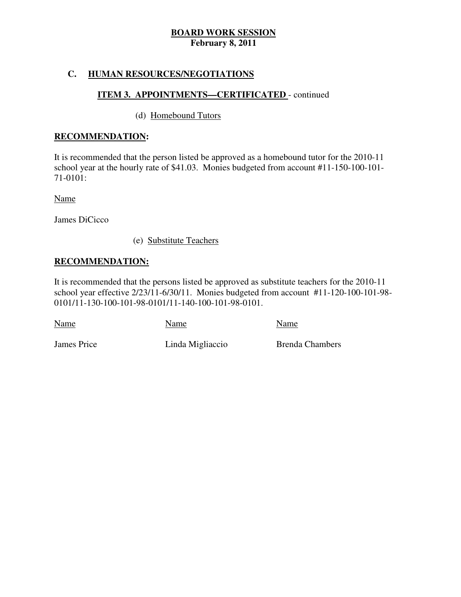# **C. HUMAN RESOURCES/NEGOTIATIONS**

# **ITEM 3. APPOINTMENTS—CERTIFICATED** - continued

# (d) Homebound Tutors

# **RECOMMENDATION:**

 It is recommended that the person listed be approved as a homebound tutor for the 2010-11 school year at the hourly rate of \$41.03. Monies budgeted from account #11-150-100-101 71-0101:

Name

James DiCicco

(e) Substitute Teachers

# **RECOMMENDATION:**

 It is recommended that the persons listed be approved as substitute teachers for the 2010-11 school year effective 2/23/11-6/30/11. Monies budgeted from account #11-120-100-101-98 0101/11-130-100-101-98-0101/11-140-100-101-98-0101.

Name Name Name Name

James Price

Linda Migliaccio Brenda Chambers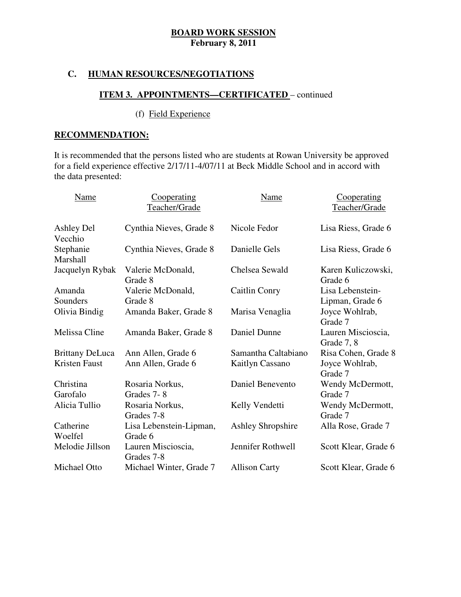# **C. HUMAN RESOURCES/NEGOTIATIONS**

# **ITEM 3. APPOINTMENTS—CERTIFICATED** – continued

# (f) Field Experience

# **RECOMMENDATION:**

 It is recommended that the persons listed who are students at Rowan University be approved for a field experience effective 2/17/11-4/07/11 at Beck Middle School and in accord with the data presented:

| <b>Name</b>            | Cooperating<br>Teacher/Grade       | <b>Name</b>              | Cooperating<br>Teacher/Grade        |
|------------------------|------------------------------------|--------------------------|-------------------------------------|
| Ashley Del<br>Vecchio  | Cynthia Nieves, Grade 8            | Nicole Fedor             | Lisa Riess, Grade 6                 |
| Stephanie<br>Marshall  | Cynthia Nieves, Grade 8            | Danielle Gels            | Lisa Riess, Grade 6                 |
| Jacquelyn Rybak        | Valerie McDonald,<br>Grade 8       | Chelsea Sewald           | Karen Kuliczowski,<br>Grade 6       |
| Amanda<br>Sounders     | Valerie McDonald,<br>Grade 8       | Caitlin Conry            | Lisa Lebenstein-<br>Lipman, Grade 6 |
| Olivia Bindig          | Amanda Baker, Grade 8              | Marisa Venaglia          | Joyce Wohlrab,<br>Grade 7           |
| Melissa Cline          | Amanda Baker, Grade 8              | Daniel Dunne             | Lauren Miscioscia,<br>Grade 7, 8    |
| <b>Brittany DeLuca</b> | Ann Allen, Grade 6                 | Samantha Caltabiano      | Risa Cohen, Grade 8                 |
| Kristen Faust          | Ann Allen, Grade 6                 | <b>Kaitlyn Cassano</b>   | Joyce Wohlrab,<br>Grade 7           |
| Christina<br>Garofalo  | Rosaria Norkus,<br>Grades 7-8      | Daniel Benevento         | Wendy McDermott,<br>Grade 7         |
| Alicia Tullio          | Rosaria Norkus,<br>Grades 7-8      | Kelly Vendetti           | Wendy McDermott,<br>Grade 7         |
| Catherine<br>Woelfel   | Lisa Lebenstein-Lipman,<br>Grade 6 | <b>Ashley Shropshire</b> | Alla Rose, Grade 7                  |
| Melodie Jillson        | Lauren Miscioscia,<br>Grades 7-8   | Jennifer Rothwell        | Scott Klear, Grade 6                |
| Michael Otto           | Michael Winter, Grade 7            | <b>Allison Carty</b>     | Scott Klear, Grade 6                |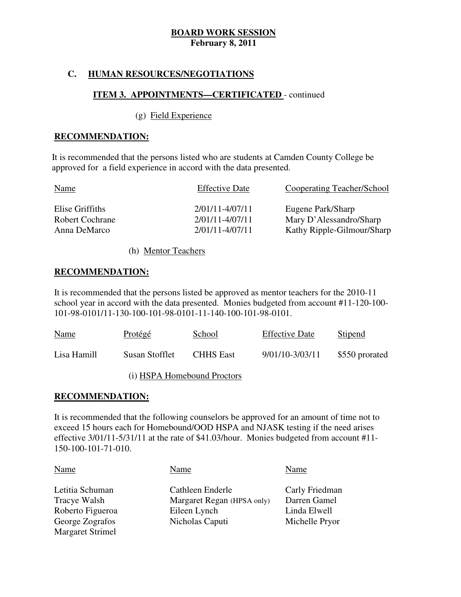# **C. HUMAN RESOURCES/NEGOTIATIONS**

# **ITEM 3. APPOINTMENTS—CERTIFICATED** - continued

### (g) Field Experience

### **RECOMMENDATION:**

It is recommended that the persons listed who are students at Camden County College be approved for a field experience in accord with the data presented.

| <b>Name</b>            | <b>Effective Date</b> | Cooperating Teacher/School |
|------------------------|-----------------------|----------------------------|
| Elise Griffiths        | $2/01/11 - 4/07/11$   | Eugene Park/Sharp          |
| <b>Robert Cochrane</b> | $2/01/11 - 4/07/11$   | Mary D'Alessandro/Sharp    |
| Anna DeMarco           | $2/01/11 - 4/07/11$   | Kathy Ripple-Gilmour/Sharp |

(h) Mentor Teachers

### **RECOMMENDATION:**

 It is recommended that the persons listed be approved as mentor teachers for the 2010-11 school year in accord with the data presented. Monies budgeted from account #11-120-100 101-98-0101/11-130-100-101-98-0101-11-140-100-101-98-0101.

| <b>Name</b> | Protégé        | School                      | <b>Effective Date</b> | Stipend        |
|-------------|----------------|-----------------------------|-----------------------|----------------|
| Lisa Hamill | Susan Stofflet | <b>CHHS</b> East            | 9/01/10-3/03/11       | \$550 prorated |
|             |                | (i) HSPA Homebound Proctors |                       |                |

## **RECOMMENDATION:**

 It is recommended that the following counselors be approved for an amount of time not to exceed 15 hours each for Homebound/OOD HSPA and NJASK testing if the need arises effective 3/01/11-5/31/11 at the rate of \$41.03/hour. Monies budgeted from account #11 150-100-101-71-010.

| Name                    | Name                       | Name           |
|-------------------------|----------------------------|----------------|
| Letitia Schuman         | Cathleen Enderle           | Carly Friedman |
| Tracye Walsh            | Margaret Regan (HPSA only) | Darren Gamel   |
| Roberto Figueroa        | Eileen Lynch               | Linda Elwell   |
| George Zografos         | Nicholas Caputi            | Michelle Pryor |
| <b>Margaret Strimel</b> |                            |                |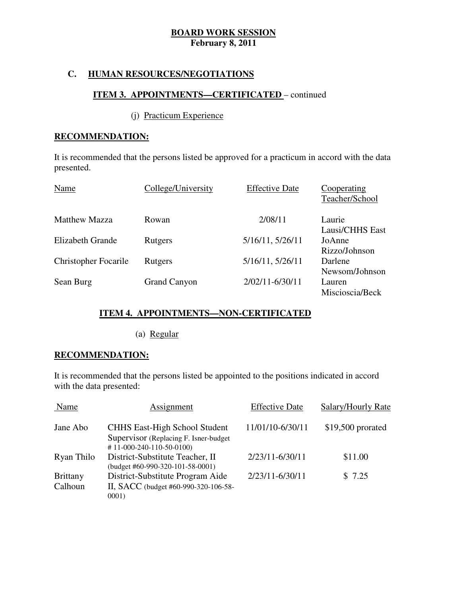# **C. HUMAN RESOURCES/NEGOTIATIONS**

# **ITEM 3. APPOINTMENTS—CERTIFICATED** – continued

## (j) Practicum Experience

# **RECOMMENDATION:**

 It is recommended that the persons listed be approved for a practicum in accord with the data presented.

| presented.                  |                     |                       |                               |
|-----------------------------|---------------------|-----------------------|-------------------------------|
| Name                        | College/University  | <b>Effective Date</b> | Cooperating<br>Teacher/School |
| <b>Matthew Mazza</b>        | Rowan               | 2/08/11               | Laurie<br>Lausi/CHHS East     |
| Elizabeth Grande            | Rutgers             | 5/16/11, 5/26/11      | JoAnne<br>Rizzo/Johnson       |
| <b>Christopher Focarile</b> | Rutgers             | 5/16/11, 5/26/11      | Darlene<br>Newsom/Johnson     |
| Sean Burg                   | <b>Grand Canyon</b> | $2/02/11 - 6/30/11$   | Lauren<br>Miscioscia/Beck     |

# **ITEM 4. APPOINTMENTS—NON-CERTIFICATED**

(a) Regular

# **RECOMMENDATION:**

 It is recommended that the persons listed be appointed to the positions indicated in accord with the data presented:

| Name                       | Assignment                                                                                                     | <b>Effective Date</b> | Salary/Hourly Rate |
|----------------------------|----------------------------------------------------------------------------------------------------------------|-----------------------|--------------------|
| Jane Abo                   | <b>CHHS East-High School Student</b><br>Supervisor (Replacing F. Isner-budget)<br>$\#$ 11-000-240-110-50-0100) | 11/01/10-6/30/11      | $$19,500$ prorated |
| Ryan Thilo                 | District-Substitute Teacher, II<br>$(budget #60-990-320-101-58-0001)$                                          | 2/23/11-6/30/11       | \$11.00            |
| <b>Brittany</b><br>Calhoun | District-Substitute Program Aide<br>II, SACC (budget #60-990-320-106-58-<br>0001)                              | 2/23/11-6/30/11       | \$7.25             |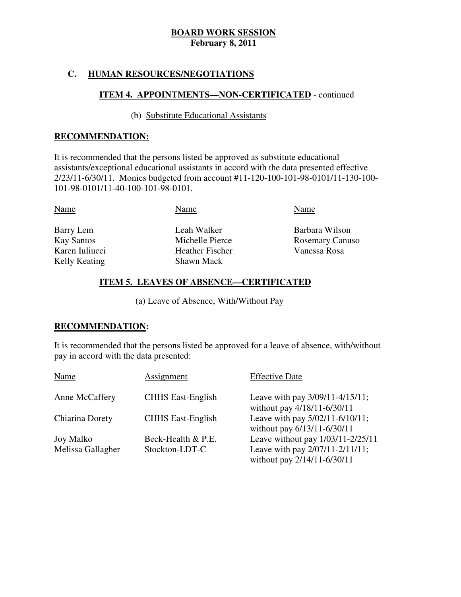# **C. HUMAN RESOURCES/NEGOTIATIONS**

# **ITEM 4. APPOINTMENTS—NON-CERTIFICATED** - continued

## (b) Substitute Educational Assistants

### **RECOMMENDATION:**

 It is recommended that the persons listed be approved as substitute educational assistants/exceptional educational assistants in accord with the data presented effective 2/23/11-6/30/11. Monies budgeted from account #11-120-100-101-98-0101/11-130-100 101-98-0101/11-40-100-101-98-0101.

| Barry Lem<br><b>Kay Santos</b><br>Karen Iuliucci<br>Kelly Keating | Leah Walker<br>Michelle Pierce<br><b>Heather Fischer</b><br><b>Shawn Mack</b> | Barbara Wilson<br><b>Rosemary Canuso</b><br>Vanessa Rosa |
|-------------------------------------------------------------------|-------------------------------------------------------------------------------|----------------------------------------------------------|

# **ITEM 5. LEAVES OF ABSENCE—CERTIFICATED**

(a) Leave of Absence, With/Without Pay

## **RECOMMENDATION:**

 It is recommended that the persons listed be approved for a leave of absence, with/without pay in accord with the data presented:

| Name              | Assignment               | <b>Effective Date</b>                                          |
|-------------------|--------------------------|----------------------------------------------------------------|
| Anne McCaffery    | <b>CHHS</b> East-English | Leave with pay 3/09/11-4/15/11;<br>without pay 4/18/11-6/30/11 |
| Chiarina Dorety   | <b>CHHS</b> East-English | Leave with pay 5/02/11-6/10/11;<br>without pay 6/13/11-6/30/11 |
| <b>Joy Malko</b>  | Beck-Health & P.E.       | Leave without pay 1/03/11-2/25/11                              |
| Melissa Gallagher | Stockton-LDT-C           | Leave with pay 2/07/11-2/11/11;<br>without pay 2/14/11-6/30/11 |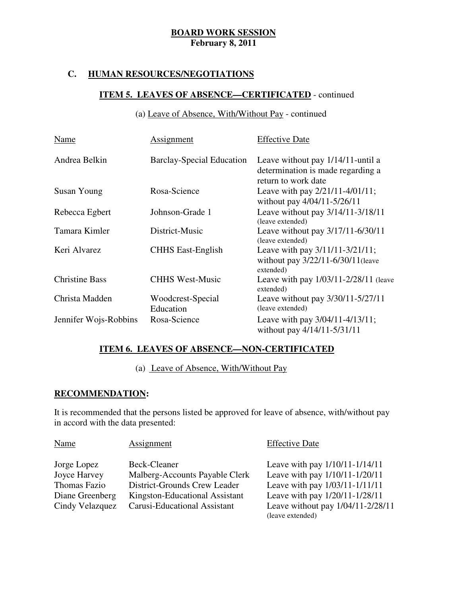# **C. HUMAN RESOURCES/NEGOTIATIONS**

# **ITEM 5. LEAVES OF ABSENCE—CERTIFICATED** - continued

# (a) Leave of Absence, With/Without Pay - continued

| Name                  | Assignment                       | <b>Effective Date</b>                                                                         |
|-----------------------|----------------------------------|-----------------------------------------------------------------------------------------------|
| Andrea Belkin         | <b>Barclay-Special Education</b> | Leave without pay 1/14/11-until a<br>determination is made regarding a<br>return to work date |
| Susan Young           | Rosa-Science                     | Leave with pay $2/21/11-4/01/11$ ;<br>without pay 4/04/11-5/26/11                             |
| Rebecca Egbert        | Johnson-Grade 1                  | Leave without pay 3/14/11-3/18/11<br>(leave extended)                                         |
| Tamara Kimler         | District-Music                   | Leave without pay 3/17/11-6/30/11<br>(leave extended)                                         |
| Keri Alvarez          | <b>CHHS East-English</b>         | Leave with pay 3/11/11-3/21/11;<br>without pay 3/22/11-6/30/11 (leave<br>extended)            |
| <b>Christine Bass</b> | <b>CHHS West-Music</b>           | Leave with pay 1/03/11-2/28/11 (leave<br>extended)                                            |
| Christa Madden        | Woodcrest-Special<br>Education   | Leave without pay 3/30/11-5/27/11<br>(leave extended)                                         |
| Jennifer Wojs-Robbins | Rosa-Science                     | Leave with pay 3/04/11-4/13/11;<br>without pay 4/14/11-5/31/11                                |

# **ITEM 6. LEAVES OF ABSENCE—NON-CERTIFICATED**

# (a) Leave of Absence, With/Without Pay

## **RECOMMENDATION:**

 It is recommended that the persons listed be approved for leave of absence, with/without pay in accord with the data presented:

| Name            | <b>Assignment</b>              | <b>Effective Date</b>                                 |
|-----------------|--------------------------------|-------------------------------------------------------|
| Jorge Lopez     | Beck-Cleaner                   | Leave with pay $1/10/11 - 1/14/11$                    |
| Joyce Harvey    | Malberg-Accounts Payable Clerk | Leave with pay 1/10/11-1/20/11                        |
| Thomas Fazio    | District-Grounds Crew Leader   | Leave with pay 1/03/11-1/11/11                        |
| Diane Greenberg | Kingston-Educational Assistant | Leave with pay 1/20/11-1/28/11                        |
| Cindy Velazquez | Carusi-Educational Assistant   | Leave without pay 1/04/11-2/28/11<br>(leave extended) |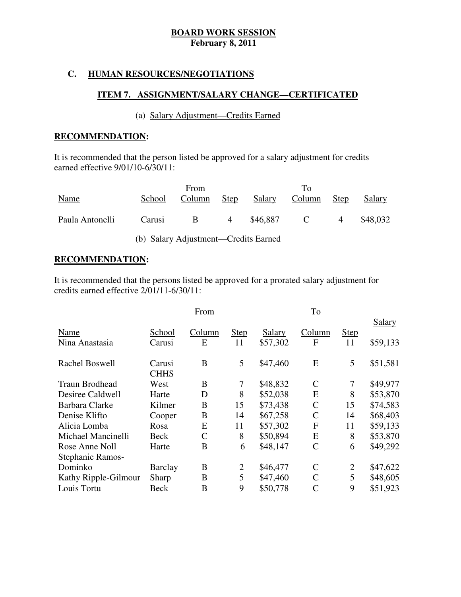# **C. HUMAN RESOURCES/NEGOTIATIONS**

# **ITEM 7. ASSIGNMENT/SALARY CHANGE—CERTIFICATED**

# (a) Salary Adjustment—Credits Earned

# **RECOMMENDATION:**

 It is recommended that the person listed be approved for a salary adjustment for credits earned effective 9/01/10-6/30/11:

|                 |        | From                                 |             |          | Tо             |             |          |
|-----------------|--------|--------------------------------------|-------------|----------|----------------|-------------|----------|
| Name            | School | Column                               | <b>Step</b> | Salary   | Column         | <b>Step</b> | Salary   |
|                 |        |                                      |             |          |                |             |          |
| Paula Antonelli | Carusi | <sub>B</sub>                         | 4           | \$46.887 | $\overline{C}$ | 4           | \$48,032 |
|                 |        |                                      |             |          |                |             |          |
|                 |        | (b) Salary Adjustment—Credits Earned |             |          |                |             |          |

## **RECOMMENDATION:**

 It is recommended that the persons listed be approved for a prorated salary adjustment for credits earned effective 2/01/11-6/30/11:

|                       |                | From         |                |          | To            |                |               |
|-----------------------|----------------|--------------|----------------|----------|---------------|----------------|---------------|
|                       |                |              |                |          |               |                | <b>Salary</b> |
| Name                  | School         | Column       | <b>Step</b>    | Salary   | Column        | <b>Step</b>    |               |
| Nina Anastasia        | Carusi         | E            | 11             | \$57,302 | F             | 11             | \$59,133      |
|                       |                |              |                |          |               |                |               |
| Rachel Boswell        | Carusi         | B            | 5              | \$47,460 | E             | 5              | \$51,581      |
|                       | <b>CHHS</b>    |              |                |          |               |                |               |
| <b>Traun Brodhead</b> | West           | B            | $\tau$         | \$48,832 | $\mathcal{C}$ | $\tau$         | \$49,977      |
| Desiree Caldwell      | Harte          | D            | 8              | \$52,038 | E             | 8              | \$53,870      |
| Barbara Clarke        | Kilmer         | B            | 15             | \$73,438 | $\mathcal{C}$ | 15             | \$74,583      |
| Denise Klifto         | Cooper         | B            | 14             | \$67,258 | $\mathcal{C}$ | 14             | \$68,403      |
| Alicia Lomba          | Rosa           | E            | 11             | \$57,302 | $\mathbf{F}$  | 11             | \$59,133      |
| Michael Mancinelli    | <b>Beck</b>    | $\mathsf{C}$ | 8              | \$50,894 | E             | 8              | \$53,870      |
| Rose Anne Noll        | Harte          | B            | 6              | \$48,147 | $\mathsf{C}$  | 6              | \$49,292      |
| Stephanie Ramos-      |                |              |                |          |               |                |               |
| Dominko               | <b>Barclay</b> | B            | $\overline{2}$ | \$46,477 | $\mathbf C$   | $\overline{2}$ | \$47,622      |
| Kathy Ripple-Gilmour  | Sharp          | B            | 5              | \$47,460 | $\mathcal{C}$ | 5              | \$48,605      |
| Louis Tortu           | Beck           | B            | 9              | \$50,778 | $\mathcal{C}$ | 9              | \$51,923      |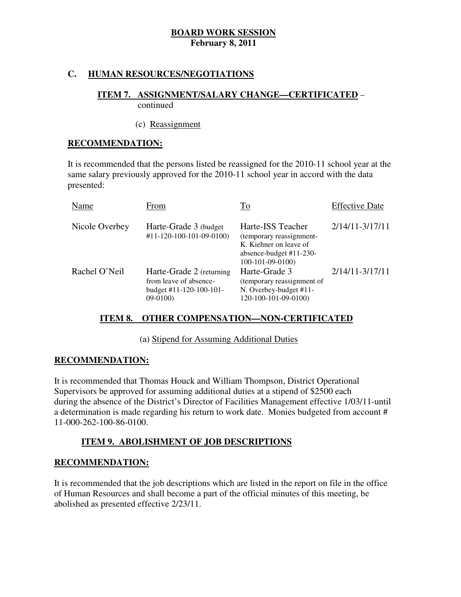# **C. HUMAN RESOURCES/NEGOTIATIONS**

### **ITEM 7. ASSIGNMENT/SALARY CHANGE—CERTIFICATED** – continued

### (c) Reassignment

# **RECOMMENDATION:**

 It is recommended that the persons listed be reassigned for the 2010-11 school year at the same salary previously approved for the 2010-11 school year in accord with the data presented:

| Name           | From                                                                                                 | To                                                                                                                      | <b>Effective Date</b> |
|----------------|------------------------------------------------------------------------------------------------------|-------------------------------------------------------------------------------------------------------------------------|-----------------------|
| Nicole Overbey | Harte-Grade 3 (budget)<br>$#11 - 120 - 100 - 101 - 09 - 0100$                                        | Harte-ISS Teacher<br>(temporary reassignment-<br>K. Kiehner on leave of<br>absence-budget #11-230-<br>$100-101-09-0100$ | $2/14/11 - 3/17/11$   |
| Rachel O'Neil  | Harte-Grade 2 (returning<br>from leave of absence-<br>budget $\#11 - 120 - 100 - 101 -$<br>$09-0100$ | Harte-Grade 3<br>(temporary reassignment of<br>N. Overbey-budget #11-<br>120-100-101-09-0100)                           | $2/14/11 - 3/17/11$   |

## **ITEM 8. OTHER COMPENSATION—NON-CERTIFICATED**

(a) Stipend for Assuming Additional Duties

## **RECOMMENDATION:**

 It is recommended that Thomas Houck and William Thompson, District Operational Supervisors be approved for assuming additional duties at a stipend of \$2500 each during the absence of the District's Director of Facilities Management effective 1/03/11-until a determination is made regarding his return to work date. Monies budgeted from account # 11-000-262-100-86-0100.

# **ITEM 9. ABOLISHMENT OF JOB DESCRIPTIONS**

## **RECOMMENDATION:**

 It is recommended that the job descriptions which are listed in the report on file in the office of Human Resources and shall become a part of the official minutes of this meeting, be abolished as presented effective 2/23/11.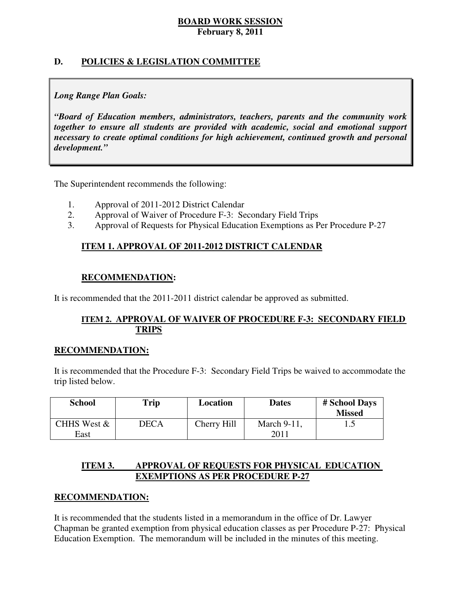# **D. POLICIES & LEGISLATION COMMITTEE**

# *Long Range Plan Goals:*

 *"Board of Education members, administrators, teachers, parents and the community work together to ensure all students are provided with academic, social and emotional support necessary to create optimal conditions for high achievement, continued growth and personal development."* 

The Superintendent recommends the following:

- 1. Approval of 2011-2012 District Calendar
- 2. Approval of Waiver of Procedure F-3: Secondary Field Trips
- 3. Approval of Requests for Physical Education Exemptions as Per Procedure P-27

# **ITEM 1. APPROVAL OF 2011-2012 DISTRICT CALENDAR**

# **RECOMMENDATION:**

It is recommended that the 2011-2011 district calendar be approved as submitted.

# **ITEM 2. APPROVAL OF WAIVER OF PROCEDURE F-3: SECONDARY FIELD TRIPS**

## **RECOMMENDATION:**

 It is recommended that the Procedure F-3: Secondary Field Trips be waived to accommodate the trip listed below.

| <b>School</b>       | Trip        | Location    | <b>Dates</b>        | # School Days<br><b>Missed</b> |
|---------------------|-------------|-------------|---------------------|--------------------------------|
| CHHS West &<br>East | <b>DECA</b> | Cherry Hill | March 9-11,<br>2011 | . . J                          |

### **ITEM 3. IMPROVAL OF REQUESTS FOR PHYSICAL EDUCATION EXEMPTIONS AS PER PROCEDURE P-27**

# **RECOMMENDATION:**

 It is recommended that the students listed in a memorandum in the office of Dr. Lawyer Chapman be granted exemption from physical education classes as per Procedure P-27: Physical Education Exemption. The memorandum will be included in the minutes of this meeting.